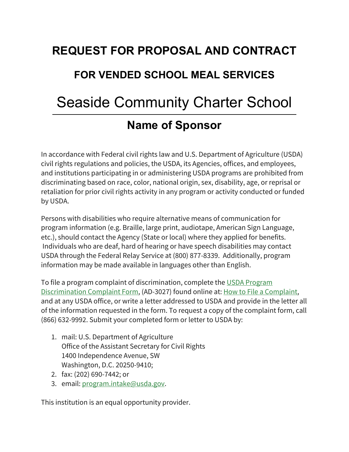# **REQUEST FOR PROPOSAL AND CONTRACT FOR VENDED SCHOOL MEAL SERVICES** Seaside Community Charter School **Name of Sponsor**

In accordance with Federal civil rights law and U.S. Department of Agriculture (USDA) civil rights regulations and policies, the USDA, its Agencies, offices, and employees, and institutions participating in or administering USDA programs are prohibited from discriminating based on race, color, national origin, sex, disability, age, or reprisal or retaliation for prior civil rights activity in any program or activity conducted or funded by USDA.

Persons with disabilities who require alternative means of communication for program information (e.g. Braille, large print, audiotape, American Sign Language, etc.), should contact the Agency (State or local) where they applied for benefits. Individuals who are deaf, hard of hearing or have speech disabilities may contact USDA through the Federal Relay Service at (800) 877-8339. Additionally, program information may be made available in languages other than English.

To file a program complaint of discrimination, complete the [USDA Program](https://www.usda.gov/sites/default/files/documents/USDA-OASCR%20P-Complaint-Form-0508-0002-508-11-28-17Fax2Mail.pdf)  [Discrimination Complaint Form,](https://www.usda.gov/sites/default/files/documents/USDA-OASCR%20P-Complaint-Form-0508-0002-508-11-28-17Fax2Mail.pdf) (AD-3027) found online at: [How to File a Complaint,](https://www.usda.gov/oascr/how-to-file-a-program-discrimination-complaint) and at any USDA office, or write a letter addressed to USDA and provide in the letter all of the information requested in the form. To request a copy of the complaint form, call (866) 632-9992. Submit your completed form or letter to USDA by:

- 1. mail: U.S. Department of Agriculture Office of the Assistant Secretary for Civil Rights 1400 Independence Avenue, SW Washington, D.C. 20250-9410;
- 2. fax: (202) 690-7442; or
- 3. email: [program.intake@usda.gov.](mailto:program.intake@usda.gov)

This institution is an equal opportunity provider.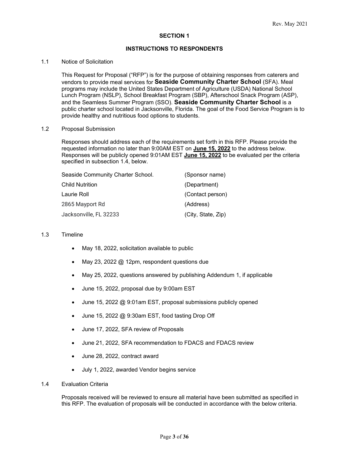#### **SECTION 1**

#### **INSTRUCTIONS TO RESPONDENTS**

#### 1.1 Notice of Solicitation

This Request for Proposal ("RFP") is for the purpose of obtaining responses from caterers and vendors to provide meal services for **Seaside Community Charter School** (SFA). Meal programs may include the United States Department of Agriculture (USDA) National School Lunch Program (NSLP), School Breakfast Program (SBP), Afterschool Snack Program (ASP), and the Seamless Summer Program (SSO). **Seaside Community Charter School** is a public charter school located in Jacksonville, Florida. The goal of the Food Service Program is to provide healthy and nutritious food options to students.

#### 1.2 Proposal Submission

Responses should address each of the requirements set forth in this RFP. Please provide the requested information no later than 9:00AM EST on **June 15, 2022** to the address below. Responses will be publicly opened 9:01AM EST **June 15, 2022** to be evaluated per the criteria specified in subsection 1.4, below.

| Seaside Community Charter School. | (Sponsor name)     |
|-----------------------------------|--------------------|
| Child Nutrition                   | (Department)       |
| Laurie Roll                       | (Contact person)   |
| 2865 Mayport Rd                   | (Address)          |
| Jacksonville, FL 32233            | (City, State, Zip) |

#### 1.3 Timeline

- May 18, 2022, solicitation available to public
- May 23, 2022 @ 12pm, respondent questions due
- May 25, 2022, questions answered by publishing Addendum 1, if applicable
- June 15, 2022, proposal due by 9:00am EST
- June 15, 2022 @ 9:01am EST, proposal submissions publicly opened
- June 15, 2022 @ 9:30am EST, food tasting Drop Off
- June 17, 2022, SFA review of Proposals
- June 21, 2022, SFA recommendation to FDACS and FDACS review
- June 28, 2022, contract award
- July 1, 2022, awarded Vendor begins service

#### 1.4 Evaluation Criteria

Proposals received will be reviewed to ensure all material have been submitted as specified in this RFP. The evaluation of proposals will be conducted in accordance with the below criteria.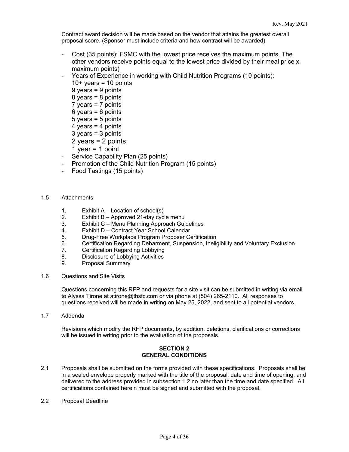Contract award decision will be made based on the vendor that attains the greatest overall proposal score. (Sponsor must include criteria and how contract will be awarded)

- Cost (35 points): FSMC with the lowest price receives the maximum points. The other vendors receive points equal to the lowest price divided by their meal price x maximum points)
- Years of Experience in working with Child Nutrition Programs (10 points):
	- $10+$  years = 10 points
	- 9 years = 9 points
	- 8 years = 8 points
	- 7 years = 7 points
	- $6$  years =  $6$  points
	- 5 years = 5 points
	- 4 years  $=$  4 points
	- $3 \text{ years} = 3 \text{ points}$
	- 2 years = 2 points
	- 1 year  $= 1$  point
- Service Capability Plan (25 points)
- Promotion of the Child Nutrition Program (15 points)
- Food Tastings (15 points)

#### 1.5 Attachments

- 1. Exhibit A Location of school(s)<br>2. Exhibit B Approved 21-day cycl
- Exhibit B Approved 21-day cycle menu
- 3. Exhibit C Menu Planning Approach Guidelines
- 4. Exhibit D Contract Year School Calendar<br>5. Drug-Free Workplace Program Proposer Co
- 5. Drug-Free Workplace Program Proposer Certification
- 6. Certification Regarding Debarment, Suspension, Ineligibility and Voluntary Exclusion
- 7. Certification Regarding Lobbying
- 8. Disclosure of Lobbying Activities<br>9. Proposal Summary
- 9. Proposal Summary
- 1.6 Questions and Site Visits

Questions concerning this RFP and requests for a site visit can be submitted in writing via email to Alyssa Tirone at atirone@thsfc.com or via phone at (504) 265-2110. All responses to questions received will be made in writing on May 25, 2022, and sent to all potential vendors.

1.7 Addenda

Revisions which modify the RFP documents, by addition, deletions, clarifications or corrections will be issued in writing prior to the evaluation of the proposals.

#### **SECTION 2 GENERAL CONDITIONS**

- 2.1 Proposals shall be submitted on the forms provided with these specifications. Proposals shall be in a sealed envelope properly marked with the title of the proposal, date and time of opening, and delivered to the address provided in subsection 1.2 no later than the time and date specified. All certifications contained herein must be signed and submitted with the proposal.
- 2.2 Proposal Deadline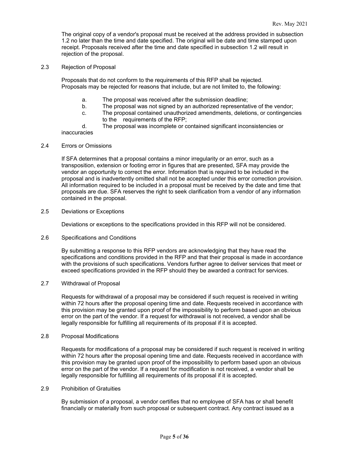The original copy of a vendor's proposal must be received at the address provided in subsection 1.2 no later than the time and date specified. The original will be date and time stamped upon receipt. Proposals received after the time and date specified in subsection 1.2 will result in rejection of the proposal.

2.3 Rejection of Proposal

Proposals that do not conform to the requirements of this RFP shall be rejected. Proposals may be rejected for reasons that include, but are not limited to, the following:

- a. The proposal was received after the submission deadline;
- The proposal was not signed by an authorized representative of the vendor;
- c. The proposal contained unauthorized amendments, deletions, or contingencies to the requirements of the RFP;
- d. The proposal was incomplete or contained significant inconsistencies or inaccuracies

2.4 Errors or Omissions

If SFA determines that a proposal contains a minor irregularity or an error, such as a transposition, extension or footing error in figures that are presented, SFA may provide the vendor an opportunity to correct the error. Information that is required to be included in the proposal and is inadvertently omitted shall not be accepted under this error correction provision. All information required to be included in a proposal must be received by the date and time that proposals are due. SFA reserves the right to seek clarification from a vendor of any information contained in the proposal.

2.5 Deviations or Exceptions

Deviations or exceptions to the specifications provided in this RFP will not be considered.

2.6 Specifications and Conditions

By submitting a response to this RFP vendors are acknowledging that they have read the specifications and conditions provided in the RFP and that their proposal is made in accordance with the provisions of such specifications. Vendors further agree to deliver services that meet or exceed specifications provided in the RFP should they be awarded a contract for services.

2.7 Withdrawal of Proposal

Requests for withdrawal of a proposal may be considered if such request is received in writing within 72 hours after the proposal opening time and date. Requests received in accordance with this provision may be granted upon proof of the impossibility to perform based upon an obvious error on the part of the vendor. If a request for withdrawal is not received, a vendor shall be legally responsible for fulfilling all requirements of its proposal if it is accepted.

2.8 Proposal Modifications

Requests for modifications of a proposal may be considered if such request is received in writing within 72 hours after the proposal opening time and date. Requests received in accordance with this provision may be granted upon proof of the impossibility to perform based upon an obvious error on the part of the vendor. If a request for modification is not received, a vendor shall be legally responsible for fulfilling all requirements of its proposal if it is accepted.

2.9 Prohibition of Gratuities

By submission of a proposal, a vendor certifies that no employee of SFA has or shall benefit financially or materially from such proposal or subsequent contract. Any contract issued as a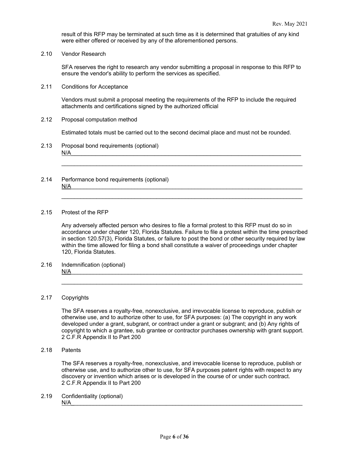result of this RFP may be terminated at such time as it is determined that gratuities of any kind were either offered or received by any of the aforementioned persons.

2.10 Vendor Research

SFA reserves the right to research any vendor submitting a proposal in response to this RFP to ensure the vendor's ability to perform the services as specified.

2.11 Conditions for Acceptance

Vendors must submit a proposal meeting the requirements of the RFP to include the required attachments and certifications signed by the authorized official

2.12 Proposal computation method

Estimated totals must be carried out to the second decimal place and must not be rounded.

\_\_\_\_\_\_\_\_\_\_\_\_\_\_\_\_\_\_\_\_\_\_\_\_\_\_\_\_\_\_\_\_\_\_\_\_\_\_\_\_\_\_\_\_\_\_\_\_\_\_\_\_\_\_\_\_\_\_\_\_\_\_\_\_\_\_\_\_\_\_\_\_\_\_\_\_

\_\_\_\_\_\_\_\_\_\_\_\_\_\_\_\_\_\_\_\_\_\_\_\_\_\_\_\_\_\_\_\_\_\_\_\_\_\_\_\_\_\_\_\_\_\_\_\_\_\_\_\_\_\_\_\_\_\_\_\_\_\_\_\_\_\_\_\_\_\_\_\_\_\_\_\_

- 2.13 Proposal bond requirements (optional)  $N/A$
- 2.14 Performance bond requirements (optional)  $N/A$  . The contract of the contract of the contract of the contract of the contract of the contract of the contract of the contract of the contract of the contract of the contract of the contract of the contract of the co

#### 2.15 Protest of the RFP

Any adversely affected person who desires to file a formal protest to this RFP must do so in accordance under chapter 120, Florida Statutes. Failure to file a protest within the time prescribed in section 120.57(3), Florida Statutes, or failure to post the bond or other security required by law within the time allowed for filing a bond shall constitute a waiver of proceedings under chapter 120, Florida Statutes.

2.16 Indemnification (optional)  $N/A$ 

#### 2.17 Copyrights

The SFA reserves a royalty-free, nonexclusive, and irrevocable license to reproduce, publish or otherwise use, and to authorize other to use, for SFA purposes: (a) The copyright in any work developed under a grant, subgrant, or contract under a grant or subgrant; and (b) Any rights of copyright to which a grantee, sub grantee or contractor purchases ownership with grant support. 2 C.F.R Appendix II to Part 200

\_\_\_\_\_\_\_\_\_\_\_\_\_\_\_\_\_\_\_\_\_\_\_\_\_\_\_\_\_\_\_\_\_\_\_\_\_\_\_\_\_\_\_\_\_\_\_\_\_\_\_\_\_\_\_\_\_\_\_\_\_\_\_\_\_\_\_\_\_\_\_\_\_\_\_\_

2.18 Patents

The SFA reserves a royalty-free, nonexclusive, and irrevocable license to reproduce, publish or otherwise use, and to authorize other to use, for SFA purposes patent rights with respect to any discovery or invention which arises or is developed in the course of or under such contract. 2 C.F.R Appendix II to Part 200

2.19 Confidentiality (optional)  $N/A$   $\overline{\phantom{a}}$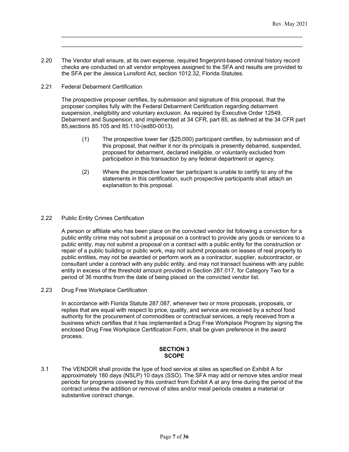2.20 The Vendor shall ensure, at its own expense, required fingerprint-based criminal history record checks are conducted on all vendor employees assigned to the SFA and results are provided to the SFA per the Jessica Lunsford Act, section 1012.32, Florida Statutes.

\_\_\_\_\_\_\_\_\_\_\_\_\_\_\_\_\_\_\_\_\_\_\_\_\_\_\_\_\_\_\_\_\_\_\_\_\_\_\_\_\_\_\_\_\_\_\_\_\_\_\_\_\_\_\_\_\_\_\_\_\_\_\_\_\_\_\_\_\_\_\_\_\_\_\_\_ \_\_\_\_\_\_\_\_\_\_\_\_\_\_\_\_\_\_\_\_\_\_\_\_\_\_\_\_\_\_\_\_\_\_\_\_\_\_\_\_\_\_\_\_\_\_\_\_\_\_\_\_\_\_\_\_\_\_\_\_\_\_\_\_\_\_\_\_\_\_\_\_\_\_\_\_

2.21 Federal Debarment Certification

The prospective proposer certifies, by submission and signature of this proposal, that the proposer complies fully with the Federal Debarment Certification regarding debarment suspension, ineligibility and voluntary exclusion. As required by Executive Order 12549, Debarment and Suspension, and implemented at 34 CFR, part 85, as defined at the 34 CFR part 85,sections 85.105 and 85.110-(ed80-0013).

- (1) The prospective lower tier (\$25,000) participant certifies, by submission and of this proposal, that neither it nor its principals is presently debarred, suspended, proposed for debarment, declared ineligible, or voluntarily excluded from participation in this transaction by any federal department or agency.
- (2) Where the prospective lower tier participant is unable to certify to any of the statements in this certification, such prospective participants shall attach an explanation to this proposal.
- 2.22 Public Entity Crimes Certification

A person or affiliate who has been place on the convicted vendor list following a conviction for a public entity crime may not submit a proposal on a contract to provide any goods or services to a public entity, may not submit a proposal on a contract with a public entity for the construction or repair of a public building or public work, may not submit proposals on leases of real property to public entities, may not be awarded or perform work as a contractor, supplier, subcontractor, or consultant under a contract with any public entity, and may not transact business with any public entity in excess of the threshold amount provided in Section 287.017, for Category Two for a period of 36 months from the date of being placed on the convicted vendor list.

2.23 Drug Free Workplace Certification

In accordance with Florida Statute 287.087, whenever two or more proposals, proposals, or replies that are equal with respect to price, quality, and service are received by a school food authority for the procurement of commodities or contractual services, a reply received from a business which certifies that it has implemented a Drug Free Workplace Program by signing the enclosed Drug Free Workplace Certification Form, shall be given preference in the award process.

#### **SECTION 3 SCOPE**

3.1 The VENDOR shall provide the type of food service at sites as specified on Exhibit A for approximately 180 days (NSLP) 10 days (SSO). The SFA may add or remove sites and/or meal periods for programs covered by this contract from Exhibit A at any time during the period of the contract unless the addition or removal of sites and/or meal periods creates a material or substantive contract change.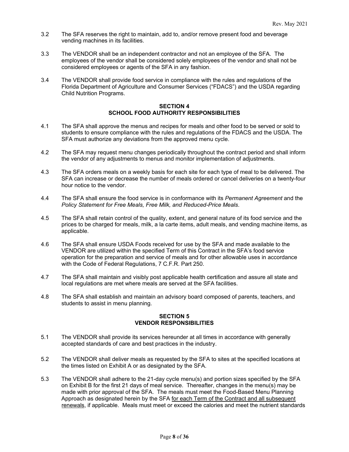- 3.2 The SFA reserves the right to maintain, add to, and/or remove present food and beverage vending machines in its facilities.
- 3.3 The VENDOR shall be an independent contractor and not an employee of the SFA. The employees of the vendor shall be considered solely employees of the vendor and shall not be considered employees or agents of the SFA in any fashion.
- 3.4 The VENDOR shall provide food service in compliance with the rules and regulations of the Florida Department of Agriculture and Consumer Services ("FDACS") and the USDA regarding Child Nutrition Programs.

#### **SECTION 4 SCHOOL FOOD AUTHORITY RESPONSIBILITIES**

- 4.1 The SFA shall approve the menus and recipes for meals and other food to be served or sold to students to ensure compliance with the rules and regulations of the FDACS and the USDA. The SFA must authorize any deviations from the approved menu cycle.
- 4.2 The SFA may request menu changes periodically throughout the contract period and shall inform the vendor of any adjustments to menus and monitor implementation of adjustments.
- 4.3 The SFA orders meals on a weekly basis for each site for each type of meal to be delivered. The SFA can increase or decrease the number of meals ordered or cancel deliveries on a twenty-four hour notice to the vendor.
- 4.4 The SFA shall ensure the food service is in conformance with its *Permanent Agreement* and the *Policy Statement for Free Meals, Free Milk, and Reduced-Price Meals*.
- 4.5 The SFA shall retain control of the quality, extent, and general nature of its food service and the prices to be charged for meals, milk, a la carte items, adult meals, and vending machine items, as applicable.
- 4.6 The SFA shall ensure USDA Foods received for use by the SFA and made available to the VENDOR are utilized within the specified Term of this Contract in the SFA's food service operation for the preparation and service of meals and for other allowable uses in accordance with the Code of Federal Regulations, 7 C.F.R. Part 250.
- 4.7 The SFA shall maintain and visibly post applicable health certification and assure all state and local regulations are met where meals are served at the SFA facilities.
- 4.8 The SFA shall establish and maintain an advisory board composed of parents, teachers, and students to assist in menu planning.

#### **SECTION 5 VENDOR RESPONSIBILITIES**

- 5.1 The VENDOR shall provide its services hereunder at all times in accordance with generally accepted standards of care and best practices in the industry.
- 5.2 The VENDOR shall deliver meals as requested by the SFA to sites at the specified locations at the times listed on Exhibit A or as designated by the SFA.
- 5.3 The VENDOR shall adhere to the 21-day cycle menu(s) and portion sizes specified by the SFA on Exhibit B for the first 21 days of meal service. Thereafter, changes in the menu(s) may be made with prior approval of the SFA. The meals must meet the Food-Based Menu Planning Approach as designated herein by the SFA for each Term of the Contract and all subsequent renewals, if applicable. Meals must meet or exceed the calories and meet the nutrient standards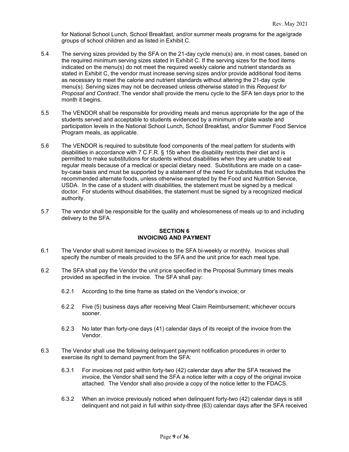for National School Lunch, School Breakfast, and/or summer meals programs for the age/grade groups of school children and as listed in Exhibit C.

- 5.4 The serving sizes provided by the SFA on the 21-day cycle menu(s) are, in most cases, based on the required minimum serving sizes stated in Exhibit C. If the serving sizes for the food items indicated on the menu(s) do not meet the required weekly calorie and nutrient standards as stated in Exhibit C, the vendor must increase serving sizes and/or provide additional food items as necessary to meet the calorie and nutrient standards without altering the 21-day cycle menu(s). Serving sizes may not be decreased unless otherwise stated in this *Request for Proposal and Contract*. The vendor shall provide the menu cycle to the SFA ten days prior to the month it begins.
- 5.5 The VENDOR shall be responsible for providing meals and menus appropriate for the age of the students served and acceptable to students evidenced by a minimum of plate waste and participation levels in the National School Lunch, School Breakfast, and/or Summer Food Service Program meals, as applicable.
- 5.6 The VENDOR is required to substitute food components of the meal pattern for students with disabilities in accordance with 7 C.F.R. § 15b when the disability restricts their diet and is permitted to make substitutions for students without disabilities when they are unable to eat regular meals because of a medical or special dietary need. Substitutions are made on a caseby-case basis and must be supported by a statement of the need for substitutes that includes the recommended alternate foods, unless otherwise exempted by the Food and Nutrition Service, USDA. In the case of a student with disabilities, the statement must be signed by a medical doctor. For students without disabilities, the statement must be signed by a recognized medical authority.
- 5.7 The vendor shall be responsible for the quality and wholesomeness of meals up to and including delivery to the SFA.

#### **SECTION 6 INVOICING AND PAYMENT**

- 6.1 The Vendor shall submit itemized invoices to the SFA bi-weekly or monthly. Invoices shall specify the number of meals provided to the SFA and the unit price for each meal type.
- 6.2 The SFA shall pay the Vendor the unit price specified in the Proposal Summary times meals provided as specified in the invoice. The SFA shall pay:
	- 6.2.1 According to the time frame as stated on the Vendor's invoice; or
	- 6.2.2 Five (5) business days after receiving Meal Claim Reimbursement; whichever occurs sooner.
	- 6.2.3 No later than forty-one days (41) calendar days of its receipt of the invoice from the Vendor.
- 6.3 The Vendor shall use the following delinquent payment notification procedures in order to exercise its right to demand payment from the SFA:
	- 6.3.1 For invoices not paid within forty-two (42) calendar days after the SFA received the invoice, the Vendor shall send the SFA a notice letter with a copy of the original invoice attached. The Vendor shall also provide a copy of the notice letter to the FDACS.
	- 6.3.2 When an invoice previously noticed when delinquent forty-two (42) calendar days is still delinquent and not paid in full within sixty-three (63) calendar days after the SFA received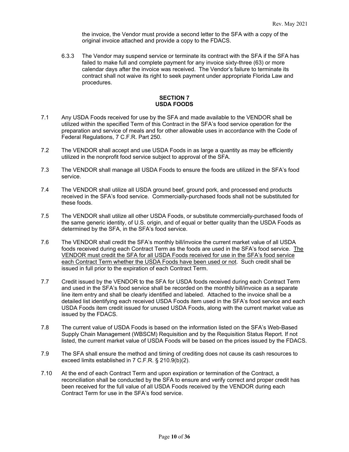the invoice, the Vendor must provide a second letter to the SFA with a copy of the original invoice attached and provide a copy to the FDACS.

6.3.3 The Vendor may suspend service or terminate its contract with the SFA if the SFA has failed to make full and complete payment for any invoice sixty-three (63) or more calendar days after the invoice was received. The Vendor's failure to terminate its contract shall not waive its right to seek payment under appropriate Florida Law and procedures.

#### **SECTION 7 USDA FOODS**

- 7.1 Any USDA Foods received for use by the SFA and made available to the VENDOR shall be utilized within the specified Term of this Contract in the SFA's food service operation for the preparation and service of meals and for other allowable uses in accordance with the Code of Federal Regulations, 7 C.F.R. Part 250.
- 7.2 The VENDOR shall accept and use USDA Foods in as large a quantity as may be efficiently utilized in the nonprofit food service subject to approval of the SFA.
- 7.3 The VENDOR shall manage all USDA Foods to ensure the foods are utilized in the SFA's food service.
- 7.4 The VENDOR shall utilize all USDA ground beef, ground pork, and processed end products received in the SFA's food service. Commercially-purchased foods shall not be substituted for these foods.
- 7.5 The VENDOR shall utilize all other USDA Foods, or substitute commercially-purchased foods of the same generic identity, of U.S. origin, and of equal or better quality than the USDA Foods as determined by the SFA, in the SFA's food service.
- 7.6 The VENDOR shall credit the SFA's monthly bill/invoice the current market value of all USDA foods received during each Contract Term as the foods are used in the SFA's food service. The VENDOR must credit the SFA for all USDA Foods received for use in the SFA's food service each Contract Term whether the USDA Foods have been used or not. Such credit shall be issued in full prior to the expiration of each Contract Term.
- 7.7 Credit issued by the VENDOR to the SFA for USDA foods received during each Contract Term and used in the SFA's food service shall be recorded on the monthly bill/invoice as a separate line item entry and shall be clearly identified and labeled. Attached to the invoice shall be a detailed list identifying each received USDA Foods item used in the SFA's food service and each USDA Foods item credit issued for unused USDA Foods, along with the current market value as issued by the FDACS.
- 7.8 The current value of USDA Foods is based on the information listed on the SFA's Web-Based Supply Chain Management (WBSCM) Requisition and by the Requisition Status Report. If not listed, the current market value of USDA Foods will be based on the prices issued by the FDACS.
- 7.9 The SFA shall ensure the method and timing of crediting does not cause its cash resources to exceed limits established in 7 C.F.R. § 210.9(b)(2).
- 7.10 At the end of each Contract Term and upon expiration or termination of the Contract, a reconciliation shall be conducted by the SFA to ensure and verify correct and proper credit has been received for the full value of all USDA Foods received by the VENDOR during each Contract Term for use in the SFA's food service.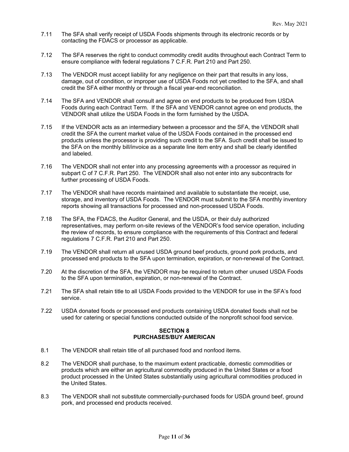- 7.11 The SFA shall verify receipt of USDA Foods shipments through its electronic records or by contacting the FDACS or processor as applicable.
- 7.12 The SFA reserves the right to conduct commodity credit audits throughout each Contract Term to ensure compliance with federal regulations 7 C.F.R. Part 210 and Part 250.
- 7.13 The VENDOR must accept liability for any negligence on their part that results in any loss, damage, out of condition, or improper use of USDA Foods not yet credited to the SFA, and shall credit the SFA either monthly or through a fiscal year-end reconciliation.
- 7.14 The SFA and VENDOR shall consult and agree on end products to be produced from USDA Foods during each Contract Term. If the SFA and VENDOR cannot agree on end products, the VENDOR shall utilize the USDA Foods in the form furnished by the USDA.
- 7.15 If the VENDOR acts as an intermediary between a processor and the SFA, the VENDOR shall credit the SFA the current market value of the USDA Foods contained in the processed end products unless the processor is providing such credit to the SFA. Such credit shall be issued to the SFA on the monthly bill/invoice as a separate line item entry and shall be clearly identified and labeled.
- 7.16 The VENDOR shall not enter into any processing agreements with a processor as required in subpart C of 7 C.F.R. Part 250. The VENDOR shall also not enter into any subcontracts for further processing of USDA Foods.
- 7.17 The VENDOR shall have records maintained and available to substantiate the receipt, use, storage, and inventory of USDA Foods. The VENDOR must submit to the SFA monthly inventory reports showing all transactions for processed and non-processed USDA Foods.
- 7.18 The SFA, the FDACS, the Auditor General, and the USDA, or their duly authorized representatives, may perform on-site reviews of the VENDOR's food service operation, including the review of records, to ensure compliance with the requirements of this Contract and federal regulations 7 C.F.R. Part 210 and Part 250.
- 7.19 The VENDOR shall return all unused USDA ground beef products, ground pork products, and processed end products to the SFA upon termination, expiration, or non-renewal of the Contract.
- 7.20 At the discretion of the SFA, the VENDOR may be required to return other unused USDA Foods to the SFA upon termination, expiration, or non-renewal of the Contract.
- 7.21 The SFA shall retain title to all USDA Foods provided to the VENDOR for use in the SFA's food service.
- 7.22 USDA donated foods or processed end products containing USDA donated foods shall not be used for catering or special functions conducted outside of the nonprofit school food service.

#### **SECTION 8 PURCHASES/BUY AMERICAN**

- 8.1 The VENDOR shall retain title of all purchased food and nonfood items.
- 8.2 The VENDOR shall purchase, to the maximum extent practicable, domestic commodities or products which are either an agricultural commodity produced in the United States or a food product processed in the United States substantially using agricultural commodities produced in the United States.
- 8.3 The VENDOR shall not substitute commercially-purchased foods for USDA ground beef, ground pork, and processed end products received.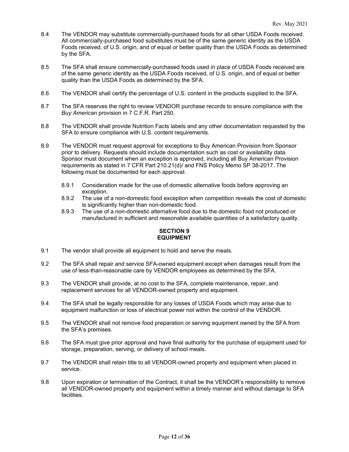- 8.4 The VENDOR may substitute commercially-purchased foods for all other USDA Foods received. All commercially-purchased food substitutes must be of the same generic identity as the USDA Foods received, of U.S. origin, and of equal or better quality than the USDA Foods as determined by the SFA.
- 8.5 The SFA shall ensure commercially-purchased foods used in place of USDA Foods received are of the same generic identity as the USDA Foods received, of U.S. origin, and of equal or better quality than the USDA Foods as determined by the SFA.
- 8.6 The VENDOR shall certify the percentage of U.S. content in the products supplied to the SFA.
- 8.7 The SFA reserves the right to review VENDOR purchase records to ensure compliance with the *Buy American* provision in 7 C.F.R. Part 250.
- 8.8 The VENDOR shall provide Nutrition Facts labels and any other documentation requested by the SFA to ensure compliance with U.S. content requirements.
- 8.9 The VENDOR must request approval for exceptions to Buy American Provision from Sponsor prior to delivery. Requests should include documentation such as cost or availability data. Sponsor must document when an exception is approved, including all Buy American Provision requirements as stated in 7 CFR Part 210.21(d)/ and FNS Policy Memo SP 38-2017. The following must be documented for each approval:
	- 8.9.1 Consideration made for the use of domestic alternative foods before approving an exception.
	- 8.9.2 The use of a non-domestic food exception when competition reveals the cost of domestic is significantly higher than non-domestic food.
	- 8.9.3 The use of a non-domestic alternative food due to the domestic food not produced or manufactured in sufficient and reasonable available quantities of a satisfactory quality.

#### **SECTION 9 EQUIPMENT**

- 9.1 The vendor shall provide all equipment to hold and serve the meals.
- 9.2 The SFA shall repair and service SFA-owned equipment except when damages result from the use of less-than-reasonable care by VENDOR employees as determined by the SFA.
- 9.3 The VENDOR shall provide, at no cost to the SFA, complete maintenance, repair, and replacement services for all VENDOR-owned property and equipment.
- 9.4 The SFA shall be legally responsible for any losses of USDA Foods which may arise due to equipment malfunction or loss of electrical power not within the control of the VENDOR.
- 9.5 The VENDOR shall not remove food preparation or serving equipment owned by the SFA from the SFA's premises.
- 9.6 The SFA must give prior approval and have final authority for the purchase of equipment used for storage, preparation, serving, or delivery of school meals.
- 9.7 The VENDOR shall retain title to all VENDOR-owned property and equipment when placed in service.
- 9.8 Upon expiration or termination of the Contract, it shall be the VENDOR's responsibility to remove all VENDOR-owned property and equipment within a timely manner and without damage to SFA facilities.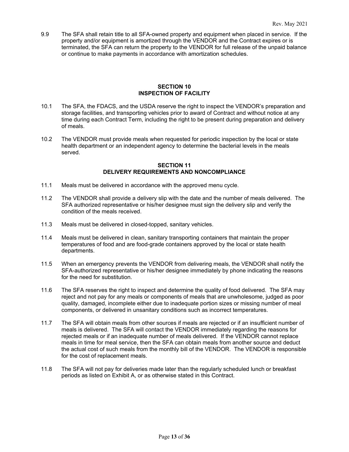9.9 The SFA shall retain title to all SFA-owned property and equipment when placed in service. If the property and/or equipment is amortized through the VENDOR and the Contract expires or is terminated, the SFA can return the property to the VENDOR for full release of the unpaid balance or continue to make payments in accordance with amortization schedules.

#### **SECTION 10 INSPECTION OF FACILITY**

- 10.1 The SFA, the FDACS, and the USDA reserve the right to inspect the VENDOR's preparation and storage facilities, and transporting vehicles prior to award of Contract and without notice at any time during each Contract Term, including the right to be present during preparation and delivery of meals.
- 10.2 The VENDOR must provide meals when requested for periodic inspection by the local or state health department or an independent agency to determine the bacterial levels in the meals served.

#### **SECTION 11 DELIVERY REQUIREMENTS AND NONCOMPLIANCE**

- 11.1 Meals must be delivered in accordance with the approved menu cycle.
- 11.2 The VENDOR shall provide a delivery slip with the date and the number of meals delivered. The SFA authorized representative or his/her designee must sign the delivery slip and verify the condition of the meals received.
- 11.3 Meals must be delivered in closed-topped, sanitary vehicles.
- 11.4 Meals must be delivered in clean, sanitary transporting containers that maintain the proper temperatures of food and are food-grade containers approved by the local or state health departments.
- 11.5 When an emergency prevents the VENDOR from delivering meals, the VENDOR shall notify the SFA-authorized representative or his/her designee immediately by phone indicating the reasons for the need for substitution.
- 11.6 The SFA reserves the right to inspect and determine the quality of food delivered. The SFA may reject and not pay for any meals or components of meals that are unwholesome, judged as poor quality, damaged, incomplete either due to inadequate portion sizes or missing number of meal components, or delivered in unsanitary conditions such as incorrect temperatures.
- 11.7 The SFA will obtain meals from other sources if meals are rejected or if an insufficient number of meals is delivered. The SFA will contact the VENDOR immediately regarding the reasons for rejected meals or if an inadequate number of meals delivered. If the VENDOR cannot replace meals in time for meal service, then the SFA can obtain meals from another source and deduct the actual cost of such meals from the monthly bill of the VENDOR. The VENDOR is responsible for the cost of replacement meals.
- 11.8 The SFA will not pay for deliveries made later than the regularly scheduled lunch or breakfast periods as listed on Exhibit A, or as otherwise stated in this Contract.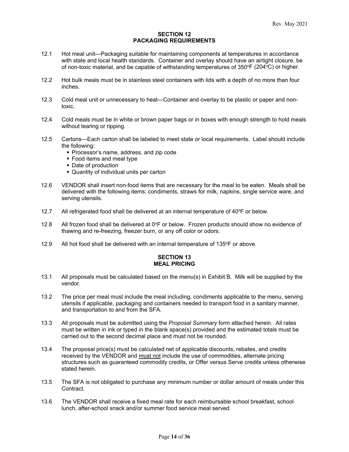#### **SECTION 12 PACKAGING REQUIREMENTS**

- 12.1 Hot meal unit—Packaging suitable for maintaining components at temperatures in accordance with state and local health standards. Container and overlay should have an airtight closure, be of non-toxic material, and be capable of withstanding temperatures of  $350^{\circ}F(204^{\circ}C)$  or higher.
- 12.2 Hot bulk meals must be in stainless steel containers with lids with a depth of no more than four inches.
- 12.3 Cold meal unit or unnecessary to heat—Container and overlay to be plastic or paper and nontoxic.
- 12.4 Cold meals must be in white or brown paper bags or in boxes with enough strength to hold meals without tearing or ripping.
- 12.5 Cartons—Each carton shall be labeled to meet state or local requirements. Label should include the following:
	- **Processor's name, address, and zip code**
	- **Food items and meal type**
	- Date of production
	- Quantity of individual units per carton
- 12.6 VENDOR shall insert non-food items that are necessary for the meal to be eaten. Meals shall be delivered with the following items: condiments, straws for milk, napkins, single service ware, and serving utensils.
- 12.7 All refrigerated food shall be delivered at an internal temperature of  $40^{\circ}$ F or below.
- 12.8 All frozen food shall be delivered at 0°F or below. Frozen products should show no evidence of thawing and re-freezing, freezer burn, or any off color or odors.
- 12.9 All hot food shall be delivered with an internal temperature of  $135^{\circ}$ F or above.

#### **SECTION 13 MEAL PRICING**

- 13.1 All proposals must be calculated based on the menu(s) in Exhibit B. Milk will be supplied by the vendor.
- 13.2 The price per meal must include the meal including, condiments applicable to the menu, serving utensils if applicable, packaging and containers needed to transport food in a sanitary manner, and transportation to and from the SFA.
- 13.3 All proposals must be submitted using the *Proposal Summary* form attached herein. All rates must be written in ink or typed in the blank space(s) provided and the estimated totals must be carried out to the second decimal place and must not be rounded.
- 13.4 The proposal price(s) must be calculated net of applicable discounts, rebates, and credits received by the VENDOR and must not include the use of commodities, alternate pricing structures such as guaranteed commodity credits, or Offer versus Serve credits unless otherwise stated herein.
- 13.5 The SFA is not obligated to purchase any minimum number or dollar amount of meals under this Contract.
- 13.6 The VENDOR shall receive a fixed meal rate for each reimbursable school breakfast, school lunch, after-school snack and/or summer food service meal served.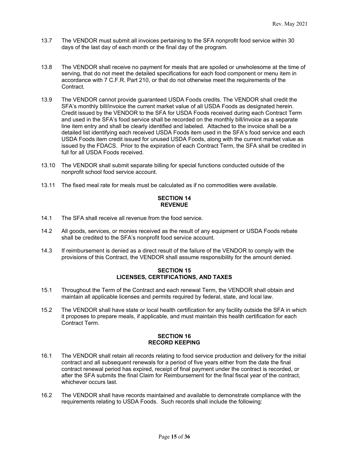- 13.7 The VENDOR must submit all invoices pertaining to the SFA nonprofit food service within 30 days of the last day of each month or the final day of the program.
- 13.8 The VENDOR shall receive no payment for meals that are spoiled or unwholesome at the time of serving, that do not meet the detailed specifications for each food component or menu item in accordance with 7 C.F.R. Part 210, or that do not otherwise meet the requirements of the Contract.
- 13.9 The VENDOR cannot provide guaranteed USDA Foods credits. The VENDOR shall credit the SFA's monthly bill/invoice the current market value of all USDA Foods as designated herein. Credit issued by the VENDOR to the SFA for USDA Foods received during each Contract Term and used in the SFA's food service shall be recorded on the monthly bill/invoice as a separate line item entry and shall be clearly identified and labeled. Attached to the invoice shall be a detailed list identifying each received USDA Foods item used in the SFA's food service and each USDA Foods item credit issued for unused USDA Foods, along with the current market value as issued by the FDACS. Prior to the expiration of each Contract Term, the SFA shall be credited in full for all USDA Foods received.
- 13.10 The VENDOR shall submit separate billing for special functions conducted outside of the nonprofit school food service account.
- 13.11 The fixed meal rate for meals must be calculated as if no commodities were available.

#### **SECTION 14 REVENUE**

- 14.1 The SFA shall receive all revenue from the food service.
- 14.2 All goods, services, or monies received as the result of any equipment or USDA Foods rebate shall be credited to the SFA's nonprofit food service account.
- 14.3 If reimbursement is denied as a direct result of the failure of the VENDOR to comply with the provisions of this Contract, the VENDOR shall assume responsibility for the amount denied.

#### **SECTION 15 LICENSES, CERTIFICATIONS, AND TAXES**

- 15.1 Throughout the Term of the Contract and each renewal Term, the VENDOR shall obtain and maintain all applicable licenses and permits required by federal, state, and local law.
- 15.2 The VENDOR shall have state or local health certification for any facility outside the SFA in which it proposes to prepare meals, if applicable, and must maintain this health certification for each Contract Term.

#### **SECTION 16 RECORD KEEPING**

- 16.1 The VENDOR shall retain all records relating to food service production and delivery for the initial contract and all subsequent renewals for a period of five years either from the date the final contract renewal period has expired, receipt of final payment under the contract is recorded, or after the SFA submits the final Claim for Reimbursement for the final fiscal year of the contract, whichever occurs last.
- 16.2 The VENDOR shall have records maintained and available to demonstrate compliance with the requirements relating to USDA Foods. Such records shall include the following: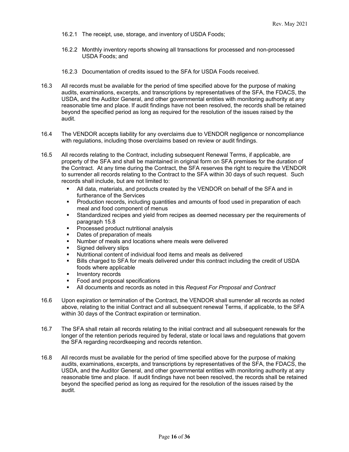- 16.2.1 The receipt, use, storage, and inventory of USDA Foods;
- 16.2.2 Monthly inventory reports showing all transactions for processed and non-processed USDA Foods; and
- 16.2.3 Documentation of credits issued to the SFA for USDA Foods received.
- 16.3 All records must be available for the period of time specified above for the purpose of making audits, examinations, excerpts, and transcriptions by representatives of the SFA, the FDACS, the USDA, and the Auditor General, and other governmental entities with monitoring authority at any reasonable time and place. If audit findings have not been resolved, the records shall be retained beyond the specified period as long as required for the resolution of the issues raised by the audit.
- 16.4 The VENDOR accepts liability for any overclaims due to VENDOR negligence or noncompliance with regulations, including those overclaims based on review or audit findings.
- 16.5 All records relating to the Contract, including subsequent Renewal Terms, if applicable, are property of the SFA and shall be maintained in original form on SFA premises for the duration of the Contract. At any time during the Contract, the SFA reserves the right to require the VENDOR to surrender all records relating to the Contract to the SFA within 30 days of such request. Such records shall include, but are not limited to:
	- All data, materials, and products created by the VENDOR on behalf of the SFA and in furtherance of the Services
	- **Production records, including quantities and amounts of food used in preparation of each** meal and food component of menus
	- Standardized recipes and yield from recipes as deemed necessary per the requirements of paragraph 15.8
	- **Processed product nutritional analysis**
	- Dates of preparation of meals
	- Number of meals and locations where meals were delivered
	- Signed delivery slips
	- Nutritional content of individual food items and meals as delivered
	- Bills charged to SFA for meals delivered under this contract including the credit of USDA foods where applicable
	- **Inventory records**
	- **Food and proposal specifications**
	- All documents and records as noted in this *Request For Proposal and Contract*
- 16.6 Upon expiration or termination of the Contract, the VENDOR shall surrender all records as noted above, relating to the initial Contract and all subsequent renewal Terms, if applicable, to the SFA within 30 days of the Contract expiration or termination.
- 16.7 The SFA shall retain all records relating to the initial contract and all subsequent renewals for the longer of the retention periods required by federal, state or local laws and regulations that govern the SFA regarding recordkeeping and records retention.
- 16.8 All records must be available for the period of time specified above for the purpose of making audits, examinations, excerpts, and transcriptions by representatives of the SFA, the FDACS, the USDA, and the Auditor General, and other governmental entities with monitoring authority at any reasonable time and place. If audit findings have not been resolved, the records shall be retained beyond the specified period as long as required for the resolution of the issues raised by the audit.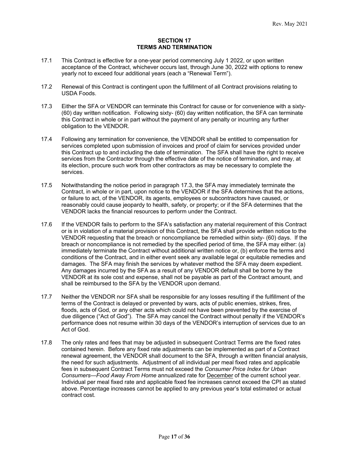#### **SECTION 17 TERMS AND TERMINATION**

- 17.1 This Contract is effective for a one-year period commencing July 1 2022, or upon written acceptance of the Contract, whichever occurs last, through June 30, 2022 with options to renew yearly not to exceed four additional years (each a "Renewal Term").
- 17.2 Renewal of this Contract is contingent upon the fulfillment of all Contract provisions relating to USDA Foods.
- 17.3 Either the SFA or VENDOR can terminate this Contract for cause or for convenience with a sixty- (60) day written notification. Following sixty- (60) day written notification, the SFA can terminate this Contract in whole or in part without the payment of any penalty or incurring any further obligation to the VENDOR.
- 17.4 Following any termination for convenience, the VENDOR shall be entitled to compensation for services completed upon submission of invoices and proof of claim for services provided under this Contract up to and including the date of termination. The SFA shall have the right to receive services from the Contractor through the effective date of the notice of termination, and may, at its election, procure such work from other contractors as may be necessary to complete the services.
- 17.5 Notwithstanding the notice period in paragraph 17.3, the SFA may immediately terminate the Contract, in whole or in part, upon notice to the VENDOR if the SFA determines that the actions, or failure to act, of the VENDOR, its agents, employees or subcontractors have caused, or reasonably could cause jeopardy to health, safety, or property; or if the SFA determines that the VENDOR lacks the financial resources to perform under the Contract.
- 17.6 If the VENDOR fails to perform to the SFA's satisfaction any material requirement of this Contract or is in violation of a material provision of this Contract, the SFA shall provide written notice to the VENDOR requesting that the breach or noncompliance be remedied within sixty- (60) days. If the breach or noncompliance is not remedied by the specified period of time, the SFA may either: (a) immediately terminate the Contract without additional written notice or, (b) enforce the terms and conditions of the Contract, and in either event seek any available legal or equitable remedies and damages. The SFA may finish the services by whatever method the SFA may deem expedient. Any damages incurred by the SFA as a result of any VENDOR default shall be borne by the VENDOR at its sole cost and expense, shall not be payable as part of the Contract amount, and shall be reimbursed to the SFA by the VENDOR upon demand.
- 17.7 Neither the VENDOR nor SFA shall be responsible for any losses resulting if the fulfillment of the terms of the Contract is delayed or prevented by wars, acts of public enemies, strikes, fires, floods, acts of God, or any other acts which could not have been prevented by the exercise of due diligence ("Act of God"). The SFA may cancel the Contract without penalty if the VENDOR's performance does not resume within 30 days of the VENDOR's interruption of services due to an Act of God.
- 17.8 The only rates and fees that may be adjusted in subsequent Contract Terms are the fixed rates contained herein. Before any fixed rate adjustments can be implemented as part of a Contract renewal agreement, the VENDOR shall document to the SFA, through a written financial analysis, the need for such adjustments. Adjustment of all individual per meal fixed rates and applicable fees in subsequent Contract Terms must not exceed the *Consumer Price Index for Urban Consumers—Food Away From Home* annualized rate for December of the current school year. Individual per meal fixed rate and applicable fixed fee increases cannot exceed the CPI as stated above. Percentage increases cannot be applied to any previous year's total estimated or actual contract cost.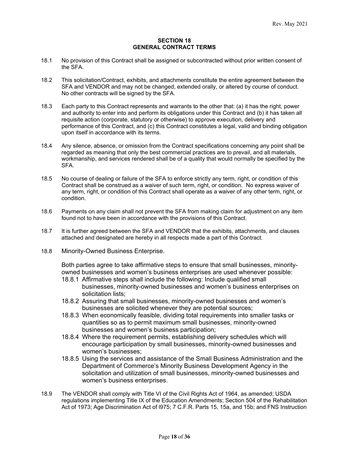#### **SECTION 18 GENERAL CONTRACT TERMS**

- 18.1 No provision of this Contract shall be assigned or subcontracted without prior written consent of the SFA.
- 18.2 This solicitation/Contract, exhibits, and attachments constitute the entire agreement between the SFA and VENDOR and may not be changed, extended orally, or altered by course of conduct. No other contracts will be signed by the SFA.
- 18.3 Each party to this Contract represents and warrants to the other that: (a) it has the right, power and authority to enter into and perform its obligations under this Contract and (b) it has taken all requisite action (corporate, statutory or otherwise) to approve execution, delivery and performance of this Contract, and (c) this Contract constitutes a legal, valid and binding obligation upon itself in accordance with its terms.
- 18.4 Any silence, absence, or omission from the Contract specifications concerning any point shall be regarded as meaning that only the best commercial practices are to prevail, and all materials, workmanship, and services rendered shall be of a quality that would normally be specified by the SFA.
- 18.5 No course of dealing or failure of the SFA to enforce strictly any term, right, or condition of this Contract shall be construed as a waiver of such term, right, or condition. No express waiver of any term, right, or condition of this Contract shall operate as a waiver of any other term, right, or condition.
- 18.6 Payments on any claim shall not prevent the SFA from making claim for adjustment on any item found not to have been in accordance with the provisions of this Contract.
- 18.7 It is further agreed between the SFA and VENDOR that the exhibits, attachments, and clauses attached and designated are hereby in all respects made a part of this Contract.
- 18.8 Minority-Owned Business Enterprise.

Both parties agree to take affirmative steps to ensure that small businesses, minorityowned businesses and women's business enterprises are used whenever possible:

- 18.8.1 Affirmative steps shall include the following: Include qualified small businesses, minority-owned businesses and women's business enterprises on solicitation lists;
- 18.8.2 Assuring that small businesses, minority-owned businesses and women's businesses are solicited whenever they are potential sources;
- 18.8.3 When economically feasible, dividing total requirements into smaller tasks or quantities so as to permit maximum small businesses, minority-owned businesses and women's business participation;
- 18.8.4 Where the requirement permits, establishing delivery schedules which will encourage participation by small businesses, minority-owned businesses and women's businesses;
- 18.8.5 Using the services and assistance of the Small Business Administration and the Department of Commerce's Minority Business Development Agency in the solicitation and utilization of small businesses, minority-owned businesses and women's business enterprises.
- 18.9 The VENDOR shall comply with Title VI of the Civil Rights Act of 1964, as amended; USDA regulations implementing Title IX of the Education Amendments; Section 504 of the Rehabilitation Act of 1973; Age Discrimination Act of l975; 7 C.F.R. Parts 15, 15a, and 15b; and FNS Instruction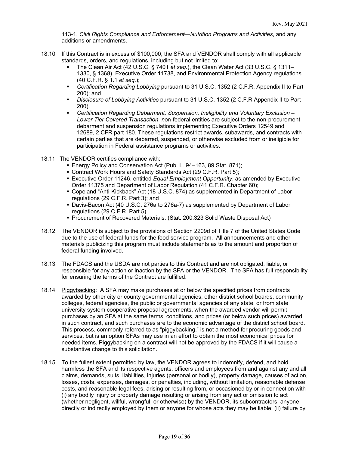113-1, *Civil Rights Compliance and Enforcement—Nutrition Programs and Activities*, and any additions or amendments.

- 18.10 If this Contract is in excess of \$100,000, the SFA and VENDOR shall comply with all applicable standards, orders, and regulations, including but not limited to:
	- The Clean Air Act (42 U.S.C. § 7401 *et seq.*), the Clean Water Act (33 U.S.C. § 1311– 1330, § 1368), Executive Order 11738, and Environmental Protection Agency regulations (40 C.F.R. § 1.1 *et seq.*);
	- *Certification Regarding Lobbying* pursuant to 31 U.S.C. 1352 (2 C.F.R. Appendix II to Part 200); and
	- *Disclosure of Lobbying Activities* pursuant to 31 U.S.C. 1352 (2 C.F.R Appendix II to Part 200).
	- *Certification Regarding Debarment, Suspension, Ineligibility and Voluntary Exclusion – Lower Tier Covered Transaction, n*on-federal entities are subject to the non-procurement debarment and suspension regulations implementing Executive Orders 12549 and 12689, [2 CFR part 180.](https://www.law.cornell.edu/cfr/text/2/part-180) These regulations restrict awards, subawards, and [contracts](https://www.law.cornell.edu/definitions/index.php?width=840&height=800&iframe=true&def_id=dad614c8a49266d2767ab3a834546ad5&term_occur=999&term_src=Title:2:Subtitle:A:Chapter:II:Part:200:Subpart:C:200.213) with certain parties that are debarred, suspended, or otherwise excluded from or ineligible for participation in Federal assistance programs or activities.
- 18.11 The VENDOR certifies compliance with:
	- Energy Policy and Conservation Act (Pub. L. 94–163, 89 Stat. 871);
	- Contract Work Hours and Safety Standards Act (29 C.F.R. Part 5);
	- Executive Order 11246, entitled *Equal Employment Opportunity*, as amended by Executive Order 11375 and Department of Labor Regulation (41 C.F.R. Chapter 60);
	- Copeland "Anti-Kickback" Act (18 U.S.C. 874) as supplemented in Department of Labor regulations (29 C.F.R. Part 3); and
	- Davis-Bacon Act (40 U.S.C. 276a to 276a-7) as supplemented by Department of Labor regulations (29 C.F.R. Part 5).
	- Procurement of Recovered Materials. (Stat. 200.323 Solid Waste Disposal Act)
- 18.12 The VENDOR is subject to the provisions of Section 2209d of Title 7 of the United States Code due to the use of federal funds for the food service program. All announcements and other materials publicizing this program must include statements as to the amount and proportion of federal funding involved.
- 18.13 The FDACS and the USDA are not parties to this Contract and are not obligated, liable, or responsible for any action or inaction by the SFA or the VENDOR. The SFA has full responsibility for ensuring the terms of the Contract are fulfilled.
- 18.14 Piggybacking: A SFA may make purchases at or below the specified prices from contracts awarded by other city or county governmental agencies, other district school boards, community colleges, federal agencies, the public or governmental agencies of any state, or from state university system cooperative proposal agreements, when the awarded vendor will permit purchases by an SFA at the same terms, conditions, and prices (or below such prices) awarded in such contract, and such purchases are to the economic advantage of the district school board. This process, commonly referred to as "piggybacking," is not a method for procuring goods and services, but is an option SFAs may use in an effort to obtain the most economical prices for needed items. Piggybacking on a contract will not be approved by the FDACS if it will cause a substantive change to this solicitation.
- 18.15 To the fullest extent permitted by law, the VENDOR agrees to indemnify, defend, and hold harmless the SFA and its respective agents, officers and employees from and against any and all claims, demands, suits, liabilities, injuries (personal or bodily), property damage, causes of action, losses, costs, expenses, damages, or penalties, including, without limitation, reasonable defense costs, and reasonable legal fees, arising or resulting from, or occasioned by or in connection with (i) any bodily injury or property damage resulting or arising from any act or omission to act (whether negligent, willful, wrongful, or otherwise) by the VENDOR, its subcontractors, anyone directly or indirectly employed by them or anyone for whose acts they may be liable; (ii) failure by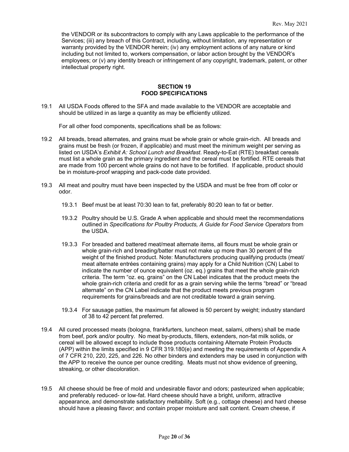the VENDOR or its subcontractors to comply with any Laws applicable to the performance of the Services; (iii) any breach of this Contract, including, without limitation, any representation or warranty provided by the VENDOR herein; (iv) any employment actions of any nature or kind including but not limited to, workers compensation, or labor action brought by the VENDOR's employees; or (v) any identity breach or infringement of any copyright, trademark, patent, or other intellectual property right.

#### **SECTION 19 FOOD SPECIFICATIONS**

19.1 All USDA Foods offered to the SFA and made available to the VENDOR are acceptable and should be utilized in as large a quantity as may be efficiently utilized.

For all other food components, specifications shall be as follows:

- 19.2 All breads, bread alternates, and grains must be whole grain or whole grain-rich. All breads and grains must be fresh (or frozen, if applicable) and must meet the minimum weight per serving as listed on USDA's *Exhibit A: School Lunch and Breakfast*. Ready-to-Eat (RTE) breakfast cereals must list a whole grain as the primary ingredient and the cereal must be fortified. RTE cereals that are made from 100 percent whole grains do not have to be fortified. If applicable, product should be in moisture-proof wrapping and pack-code date provided.
- 19.3 All meat and poultry must have been inspected by the USDA and must be free from off color or odor.
	- 19.3.1 Beef must be at least 70:30 lean to fat, preferably 80:20 lean to fat or better.
	- 19.3.2 Poultry should be U.S. Grade A when applicable and should meet the recommendations outlined in *Specifications for Poultry Products, A Guide for Food Service Operators* from the USDA.
	- 19.3.3 For breaded and battered meat/meat alternate items, all flours must be whole grain or whole grain-rich and breading/batter must not make up more than 30 percent of the weight of the finished product. Note: Manufacturers producing qualifying products (meat/ meat alternate entrées containing grains) may apply for a Child Nutrition (CN) Label to indicate the number of ounce equivalent (oz. eq.) grains that meet the whole grain-rich criteria. The term "oz. eq. grains" on the CN Label indicates that the product meets the whole grain-rich criteria and credit for as a grain serving while the terms "bread" or "bread alternate" on the CN Label indicate that the product meets previous program requirements for grains/breads and are not creditable toward a grain serving.
	- 19.3.4 For sausage patties, the maximum fat allowed is 50 percent by weight; industry standard of 38 to 42 percent fat preferred.
- 19.4 All cured processed meats (bologna, frankfurters, luncheon meat, salami, others) shall be made from beef, pork and/or poultry. No meat by-products, fillers, extenders, non-fat milk solids, or cereal will be allowed except to include those products containing Alternate Protein Products (APP) within the limits specified in 9 CFR 319.180(e) and meeting the requirements of Appendix A of 7 CFR 210, 220, 225, and 226. No other binders and extenders may be used in conjunction with the APP to receive the ounce per ounce crediting. Meats must not show evidence of greening, streaking, or other discoloration.
- 19.5 All cheese should be free of mold and undesirable flavor and odors; pasteurized when applicable; and preferably reduced- or low-fat. Hard cheese should have a bright, uniform, attractive appearance, and demonstrate satisfactory meltability. Soft (e.g., cottage cheese) and hard cheese should have a pleasing flavor; and contain proper moisture and salt content. Cream cheese, if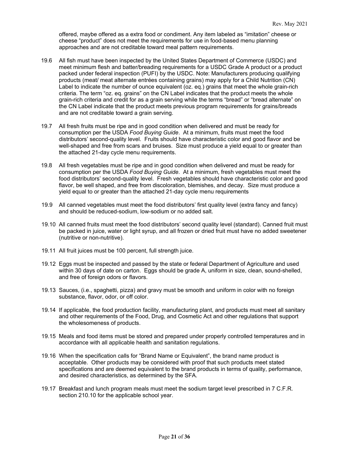offered, maybe offered as a extra food or condiment. Any item labeled as "imitation" cheese or cheese "product" does not meet the requirements for use in food-based menu planning approaches and are not creditable toward meal pattern requirements.

- 19.6 All fish must have been inspected by the United States Department of Commerce (USDC) and meet minimum flesh and batter/breading requirements for a USDC Grade A product or a product packed under federal inspection (PUFI) by the USDC. Note: Manufacturers producing qualifying products (meat/ meat alternate entrées containing grains) may apply for a Child Nutrition (CN) Label to indicate the number of ounce equivalent (oz. eq.) grains that meet the whole grain-rich criteria. The term "oz. eq. grains" on the CN Label indicates that the product meets the whole grain-rich criteria and credit for as a grain serving while the terms "bread" or "bread alternate" on the CN Label indicate that the product meets previous program requirements for grains/breads and are not creditable toward a grain serving.
- 19.7 All fresh fruits must be ripe and in good condition when delivered and must be ready for consumption per the USDA *Food Buying Guide*. At a minimum, fruits must meet the food distributors' second-quality level. Fruits should have characteristic color and good flavor and be well-shaped and free from scars and bruises. Size must produce a yield equal to or greater than the attached 21-day cycle menu requirements.
- 19.8 All fresh vegetables must be ripe and in good condition when delivered and must be ready for consumption per the USDA *Food Buying Guide*. At a minimum, fresh vegetables must meet the food distributors' second-quality level. Fresh vegetables should have characteristic color and good flavor, be well shaped, and free from discoloration, blemishes, and decay. Size must produce a yield equal to or greater than the attached 21-day cycle menu requirements
- 19.9 All canned vegetables must meet the food distributors' first quality level (extra fancy and fancy) and should be reduced-sodium, low-sodium or no added salt.
- 19.10 All canned fruits must meet the food distributors' second quality level (standard). Canned fruit must be packed in juice, water or light syrup, and all frozen or dried fruit must have no added sweetener (nutritive or non-nutritive).
- 19.11 All fruit juices must be 100 percent, full strength juice.
- 19.12 Eggs must be inspected and passed by the state or federal Department of Agriculture and used within 30 days of date on carton. Eggs should be grade A, uniform in size, clean, sound-shelled, and free of foreign odors or flavors.
- 19.13 Sauces, (i.e., spaghetti, pizza) and gravy must be smooth and uniform in color with no foreign substance, flavor, odor, or off color.
- 19.14 If applicable, the food production facility, manufacturing plant, and products must meet all sanitary and other requirements of the Food, Drug, and Cosmetic Act and other regulations that support the wholesomeness of products.
- 19.15 Meals and food items must be stored and prepared under properly controlled temperatures and in accordance with all applicable health and sanitation regulations.
- 19.16 When the specification calls for "Brand Name or Equivalent", the brand name product is acceptable. Other products may be considered with proof that such products meet stated specifications and are deemed equivalent to the brand products in terms of quality, performance, and desired characteristics, as determined by the SFA.
- 19.17 Breakfast and lunch program meals must meet the sodium target level prescribed in 7 C.F.R. section 210.10 for the applicable school year.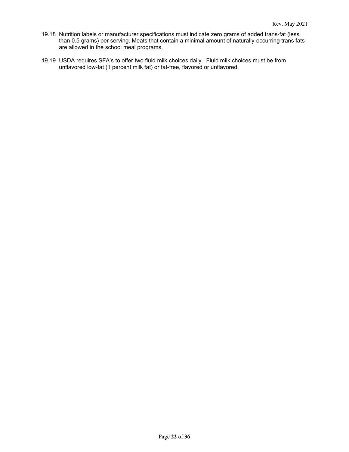- 19.18 Nutrition labels or manufacturer specifications must indicate zero grams of added trans-fat (less than 0.5 grams) per serving. Meats that contain a minimal amount of naturally-occurring trans fats are allowed in the school meal programs.
- 19.19 USDA requires SFA's to offer two fluid milk choices daily. Fluid milk choices must be from unflavored low-fat (1 percent milk fat) or fat-free, flavored or unflavored.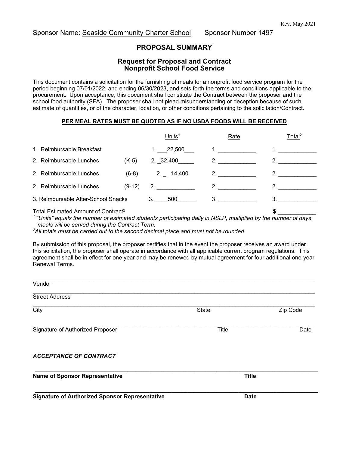## Sponsor Name: Seaside Community Charter School Sponsor Number 1497

## **PROPOSAL SUMMARY**

## **Request for Proposal and Contract Nonprofit School Food Service**

This document contains a solicitation for the furnishing of meals for a nonprofit food service program for the period beginning 07/01/2022, and ending 06/30/2023, and sets forth the terms and conditions applicable to the procurement. Upon acceptance, this document shall constitute the Contract between the proposer and the school food authority (SFA). The proposer shall not plead misunderstanding or deception because of such estimate of quantities, or of the character, location, or other conditions pertaining to the solicitation/Contract.

#### **PER MEAL RATES MUST BE QUOTED AS IF NO USDA FOODS WILL BE RECEIVED**

|                                                 | Units $1$   | Rate | Total <sup>2</sup> |
|-------------------------------------------------|-------------|------|--------------------|
| 1. Reimbursable Breakfast                       | 1. 22,500   |      |                    |
| 2. Reimbursable Lunches<br>$(K-5)$              | 2. 32,400   | 2.   | 2.                 |
| 2. Reimbursable Lunches<br>$(6-8)$              | $2.$ 14,400 | 2.   |                    |
| 2. Reimbursable Lunches<br>$(9-12)$             | 2.          |      |                    |
| 3. Reimbursable After-School Snacks             | 3. 500      | 3.   |                    |
| Total Estimated Amount of Contract <sup>2</sup> |             |      | \$                 |

*<sup>1</sup> "Units" equals the number of estimated students participating daily in NSLP, multiplied by the number of days meals will be served during the Contract Term.*

*2All totals must be carried out to the second decimal place and must not be rounded.*

By submission of this proposal, the proposer certifies that in the event the proposer receives an award under this solicitation, the proposer shall operate in accordance with all applicable current program regulations. This agreement shall be in effect for one year and may be renewed by mutual agreement for four additional one-year Renewal Terms.

| Vendor                                |              |          |
|---------------------------------------|--------------|----------|
| <b>Street Address</b>                 |              |          |
| City                                  | State        | Zip Code |
| Signature of Authorized Proposer      | <b>Title</b> | Date     |
| <b>ACCEPTANCE OF CONTRACT</b>         |              |          |
| <b>Name of Sponsor Representative</b> | <b>Title</b> |          |

**\_\_\_\_\_\_\_\_\_\_\_\_\_\_\_\_\_\_\_\_\_\_\_\_\_\_\_\_\_\_\_\_\_\_\_\_\_\_\_\_\_\_\_\_\_\_\_\_\_\_\_\_\_\_\_\_\_\_\_\_\_\_\_\_\_\_\_\_\_\_\_\_\_\_\_\_\_\_\_\_\_\_\_\_\_\_\_\_\_ Signature of Authorized Sponsor Representative**  Date **Date Date**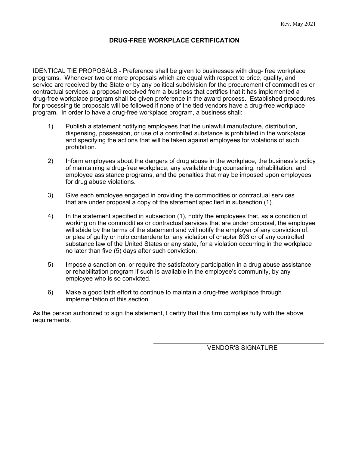## **DRUG-FREE WORKPLACE CERTIFICATION**

IDENTICAL TIE PROPOSALS - Preference shall be given to businesses with drug- free workplace programs. Whenever two or more proposals which are equal with respect to price, quality, and service are received by the State or by any political subdivision for the procurement of commodities or contractual services, a proposal received from a business that certifies that it has implemented a drug-free workplace program shall be given preference in the award process. Established procedures for processing tie proposals will be followed if none of the tied vendors have a drug-free workplace program. In order to have a drug-free workplace program, a business shall:

- 1) Publish a statement notifying employees that the unlawful manufacture, distribution, dispensing, possession, or use of a controlled substance is prohibited in the workplace and specifying the actions that will be taken against employees for violations of such prohibition.
- 2) Inform employees about the dangers of drug abuse in the workplace, the business's policy of maintaining a drug-free workplace, any available drug counseling, rehabilitation, and employee assistance programs, and the penalties that may be imposed upon employees for drug abuse violations.
- 3) Give each employee engaged in providing the commodities or contractual services that are under proposal a copy of the statement specified in subsection (1).
- 4) In the statement specified in subsection (1), notify the employees that, as a condition of working on the commodities or contractual services that are under proposal, the employee will abide by the terms of the statement and will notify the employer of any conviction of, or plea of guilty or nolo contendere to, any violation of chapter 893 or of any controlled substance law of the United States or any state, for a violation occurring in the workplace no later than five (5) days after such conviction.
- 5) Impose a sanction on, or require the satisfactory participation in a drug abuse assistance or rehabilitation program if such is available in the employee's community, by any employee who is so convicted.
- 6) Make a good faith effort to continue to maintain a drug-free workplace through implementation of this section.

As the person authorized to sign the statement, I certify that this firm complies fully with the above requirements.

VENDOR'S SIGNATURE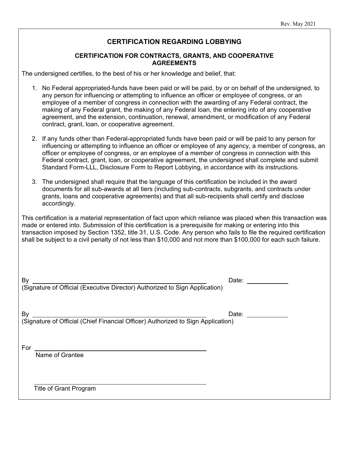## **CERTIFICATION REGARDING LOBBYING**

## **CERTIFICATION FOR CONTRACTS, GRANTS, AND COOPERATIVE AGREEMENTS**

The undersigned certifies, to the best of his or her knowledge and belief, that:

- 1. No Federal appropriated-funds have been paid or will be paid, by or on behalf of the undersigned, to any person for influencing or attempting to influence an officer or employee of congress, or an employee of a member of congress in connection with the awarding of any Federal contract, the making of any Federal grant, the making of any Federal loan, the entering into of any cooperative agreement, and the extension, continuation, renewal, amendment, or modification of any Federal contract, grant, loan, or cooperative agreement.
- 2. If any funds other than Federal-appropriated funds have been paid or will be paid to any person for influencing or attempting to influence an officer or employee of any agency, a member of congress, an officer or employee of congress, or an employee of a member of congress in connection with this Federal contract, grant, loan, or cooperative agreement, the undersigned shall complete and submit Standard Form-LLL, Disclosure Form to Report Lobbying, in accordance with its instructions.
- 3. The undersigned shall require that the language of this certification be included in the award documents for all sub-awards at all tiers (including sub-contracts, subgrants, and contracts under grants, loans and cooperative agreements) and that all sub-recipients shall certify and disclose accordingly.

This certification is a material representation of fact upon which reliance was placed when this transaction was made or entered into. Submission of this certification is a prerequisite for making or entering into this transaction imposed by Section 1352, title 31, U.S. Code. Any person who fails to file the required certification shall be subject to a civil penalty of not less than \$10,000 and not more than \$100,000 for each such failure.

By Date: (Signature of Official (Executive Director) Authorized to Sign Application)

By Date:

(Signature of Official (Chief Financial Officer) Authorized to Sign Application)

For

Name of Grantee

Title of Grant Program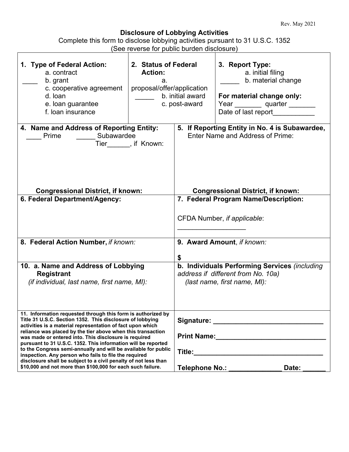# **Disclosure of Lobbying Activities**

| Complete this form to disclose lobbying activities pursuant to 31 U.S.C. 1352 |                                            |  |
|-------------------------------------------------------------------------------|--------------------------------------------|--|
|                                                                               | (See reverse for public burden disclosure) |  |
|                                                                               |                                            |  |

| 1. Type of Federal Action:<br>a. contract<br>b. grant<br>c. cooperative agreement<br>d. loan                                                                                                                                                                                                                                                                                                                                                                                                                                                                                                                                                  | see reverse for papilo paraeri alsolosare<br>2. Status of Federal<br><b>Action:</b><br>а.<br>proposal/offer/application | b. initial award | 3. Report Type:<br>a. initial filing<br>b. material change<br>For material change only:                             |
|-----------------------------------------------------------------------------------------------------------------------------------------------------------------------------------------------------------------------------------------------------------------------------------------------------------------------------------------------------------------------------------------------------------------------------------------------------------------------------------------------------------------------------------------------------------------------------------------------------------------------------------------------|-------------------------------------------------------------------------------------------------------------------------|------------------|---------------------------------------------------------------------------------------------------------------------|
| e. loan guarantee<br>f. loan insurance                                                                                                                                                                                                                                                                                                                                                                                                                                                                                                                                                                                                        |                                                                                                                         | c. post-award    | Year quarter ______<br>Date of last report                                                                          |
| 4. Name and Address of Reporting Entity:<br>Subawardee<br>Prime                                                                                                                                                                                                                                                                                                                                                                                                                                                                                                                                                                               | Tier_______, if Known:                                                                                                  |                  | 5. If Reporting Entity in No. 4 is Subawardee,<br><b>Enter Name and Address of Prime:</b>                           |
| <b>Congressional District, if known:</b><br>6. Federal Department/Agency:                                                                                                                                                                                                                                                                                                                                                                                                                                                                                                                                                                     |                                                                                                                         |                  | <b>Congressional District, if known:</b><br>7. Federal Program Name/Description:                                    |
|                                                                                                                                                                                                                                                                                                                                                                                                                                                                                                                                                                                                                                               |                                                                                                                         |                  | CFDA Number, if applicable:                                                                                         |
| 8. Federal Action Number, if known:                                                                                                                                                                                                                                                                                                                                                                                                                                                                                                                                                                                                           |                                                                                                                         | \$               | 9. Award Amount, if known:                                                                                          |
| 10. a. Name and Address of Lobbying<br><b>Registrant</b><br>(if individual, last name, first name, MI):                                                                                                                                                                                                                                                                                                                                                                                                                                                                                                                                       |                                                                                                                         |                  | b. Individuals Performing Services (including<br>address if different from No. 10a)<br>(last name, first name, MI): |
| 11. Information requested through this form is authorized by<br>Title 31 U.S.C. Section 1352. This disclosure of lobbying<br>activities is a material representation of fact upon which<br>reliance was placed by the tier above when this transaction<br>was made or entered into. This disclosure is required<br>pursuant to 31 U.S.C. 1352. This information will be reported<br>to the Congress semi-annually and will be available for public<br>inspection. Any person who fails to file the required<br>disclosure shall be subject to a civil penalty of not less than<br>\$10,000 and not more than \$100,000 for each such failure. |                                                                                                                         |                  | Signature: __________________________________<br>Telephone No.: ______________<br>Date: ______                      |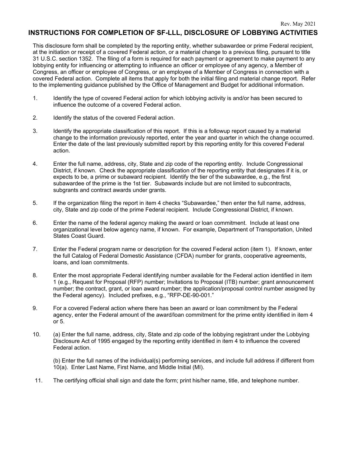## **INSTRUCTIONS FOR COMPLETION OF SF-LLL, DISCLOSURE OF LOBBYING ACTIVITIES**

This disclosure form shall be completed by the reporting entity, whether subawardee or prime Federal recipient, at the initiation or receipt of a covered Federal action, or a material change to a previous filing, pursuant to title 31 U.S.C. section 1352. The filing of a form is required for each payment or agreement to make payment to any lobbying entity for influencing or attempting to influence an officer or employee of any agency, a Member of Congress, an officer or employee of Congress, or an employee of a Member of Congress in connection with a covered Federal action. Complete all items that apply for both the initial filing and material change report. Refer to the implementing guidance published by the Office of Management and Budget for additional information.

- 1. Identify the type of covered Federal action for which lobbying activity is and/or has been secured to influence the outcome of a covered Federal action.
- 2. Identify the status of the covered Federal action.
- 3. Identify the appropriate classification of this report. If this is a followup report caused by a material change to the information previously reported, enter the year and quarter in which the change occurred. Enter the date of the last previously submitted report by this reporting entity for this covered Federal action.
- 4. Enter the full name, address, city, State and zip code of the reporting entity. Include Congressional District, if known. Check the appropriate classification of the reporting entity that designates if it is, or expects to be, a prime or subaward recipient. Identify the tier of the subawardee, e.g., the first subawardee of the prime is the 1st tier. Subawards include but are not limited to subcontracts, subgrants and contract awards under grants.
- 5. If the organization filing the report in item 4 checks "Subawardee," then enter the full name, address, city, State and zip code of the prime Federal recipient. Include Congressional District, if known.
- 6. Enter the name of the federal agency making the award or loan commitment. Include at least one organizational level below agency name, if known. For example, Department of Transportation, United States Coast Guard.
- 7. Enter the Federal program name or description for the covered Federal action (item 1). If known, enter the full Catalog of Federal Domestic Assistance (CFDA) number for grants, cooperative agreements, loans, and loan commitments.
- 8. Enter the most appropriate Federal identifying number available for the Federal action identified in item 1 (e.g., Request for Proposal (RFP) number; Invitations to Proposal (ITB) number; grant announcement number; the contract, grant, or loan award number; the application/proposal control number assigned by the Federal agency). Included prefixes, e.g., "RFP-DE-90-001."
- 9. For a covered Federal action where there has been an award or loan commitment by the Federal agency, enter the Federal amount of the award/loan commitment for the prime entity identified in item 4 or 5.
- 10. (a) Enter the full name, address, city, State and zip code of the lobbying registrant under the Lobbying Disclosure Act of 1995 engaged by the reporting entity identified in item 4 to influence the covered Federal action.

(b) Enter the full names of the individual(s) performing services, and include full address if different from 10(a). Enter Last Name, First Name, and Middle Initial (MI).

11. The certifying official shall sign and date the form; print his/her name, title, and telephone number.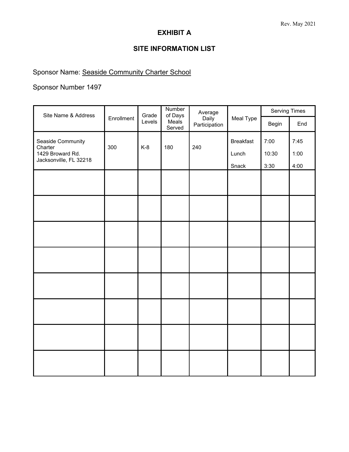# **EXHIBIT A**

# **SITE INFORMATION LIST**

# Sponsor Name: Seaside Community Charter School

# Sponsor Number 1497

| Site Name & Address                        |            | Grade  | Number<br>of Days | Average                |                  | <b>Serving Times</b> |      |
|--------------------------------------------|------------|--------|-------------------|------------------------|------------------|----------------------|------|
|                                            | Enrollment | Levels | Meals<br>Served   | Daily<br>Participation | Meal Type        | Begin                | End  |
| Seaside Community<br>Charter               | 300        | $K-8$  | 180               | 240                    | <b>Breakfast</b> | 7:00                 | 7:45 |
| 1429 Broward Rd.<br>Jacksonville, FL 32218 |            |        |                   |                        | Lunch            | 10:30                | 1:00 |
|                                            |            |        |                   |                        | Snack            | 3:30                 | 4:00 |
|                                            |            |        |                   |                        |                  |                      |      |
|                                            |            |        |                   |                        |                  |                      |      |
|                                            |            |        |                   |                        |                  |                      |      |
|                                            |            |        |                   |                        |                  |                      |      |
|                                            |            |        |                   |                        |                  |                      |      |
|                                            |            |        |                   |                        |                  |                      |      |
|                                            |            |        |                   |                        |                  |                      |      |
|                                            |            |        |                   |                        |                  |                      |      |
|                                            |            |        |                   |                        |                  |                      |      |
|                                            |            |        |                   |                        |                  |                      |      |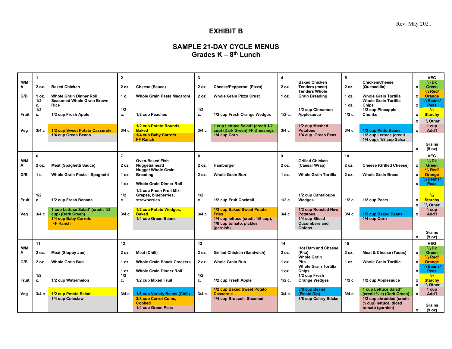# **EXHIBIT B**

# **SAMPLE 21-DAY CYCLE MENUS Grades K – 8th Lunch**

| M/M          |           |                                                       | $\overline{2}$ |                                                  | 3         |                                                | 4            | <b>Baked Chicken</b>                          | 5        | Chicken/Cheese                                      |                           | <b>VEG</b><br>$1/2$ Dk             |
|--------------|-----------|-------------------------------------------------------|----------------|--------------------------------------------------|-----------|------------------------------------------------|--------------|-----------------------------------------------|----------|-----------------------------------------------------|---------------------------|------------------------------------|
| Α            | 2 oz.     | <b>Baked Chicken</b>                                  | 2 oz.          | Cheese (Sauce)                                   | 2 oz.     | Cheese/Pepperoni (Pizza)                       | 2 oz.        | Tenders (meat)                                | 2 oz.    | (Quesadilla)                                        | $\boldsymbol{\mathsf{x}}$ | Green                              |
| G/B          | 1 oz.     | <b>Whole Grain Dinner Roll</b>                        | 1 c.           | Whole Grain Pasta Macaroni                       | 2 oz.     | <b>Whole Grain Pizza Crust</b>                 | 1 oz.        | <b>Tenders Whole</b><br><b>Grain Breading</b> | 1 oz.    | <b>Whole Grain Tortilla</b>                         | $\mathbf{x}$              | $3/4$ Red/<br><b>Orange</b>        |
|              | 1/2       | <b>Seasoned Whole Grain Brown</b>                     |                |                                                  |           |                                                |              |                                               |          | <b>Whole Grain Tortilla</b>                         |                           | <sup>I</sup> / <sub>2</sub> Beans/ |
|              | c.        | Rice                                                  |                |                                                  |           |                                                |              |                                               | 1 oz.    | Chips                                               | $\mathbf{x}$              | <b>Peas</b>                        |
| Fruit        | 1/2<br>c. | 1/2 cup Fresh Apple                                   | 1/2<br>c.      | 1/2 cup Peaches                                  | 1/2<br>c. | 1/2 cup Fresh Orange Wedges                    | $1/2$ c.     | 1/2 cup Cinnamon<br>Applesauce                | $1/2$ c. | 1/2 cup Pineapple<br><b>Chunks</b>                  | $\mathbf{x}$              | $\frac{1}{2}$<br><b>Starchy</b>    |
|              |           |                                                       |                |                                                  |           |                                                |              |                                               |          |                                                     | $\mathbf{x}$              | $1/2$ Other                        |
|              |           |                                                       |                | 1/2 cup Potato Rounds,                           |           | 1 cup Lettuce Salad* (credit 1/2               |              | 1/2 cup Mashed                                |          |                                                     |                           | 1 cup                              |
| Veg          | 3/4c      | 1/2 cup Sweet Potato Casserole<br>1/4 cup Green Beans | 3/4c           | <b>Baked</b><br>1/4 cup Baby Carrots             | 3/4c      | cup) (Dark Green) FF Dressings<br>1/4 cup Corn | 3/4c         | <b>Potatoes</b><br>1/4 cup Green Peas         | 3/4c     | 1/2 cup Pinto Beans<br>1/2 cup Lettuce (credit      | $\mathbf{x}$              | Add'l                              |
|              |           |                                                       |                | <b>FF Ranch</b>                                  |           |                                                |              |                                               |          | 1/4 cup), 1/8 cup Salsa                             |                           |                                    |
|              |           |                                                       |                |                                                  |           |                                                |              |                                               |          |                                                     | $\mathbf{x}$              | Grains<br>(9 oz)                   |
|              | 6         |                                                       | $\overline{7}$ |                                                  | 8         |                                                | $\mathbf{Q}$ |                                               | 10       |                                                     |                           | <b>VEG</b>                         |
| M/M          |           |                                                       |                | <b>Oven-Baked Fish</b>                           |           |                                                |              | <b>Grilled Chicken</b>                        |          |                                                     |                           | $1/2$ Dk                           |
| Α            | 2 oz.     | <b>Meat (Spaghetti Sauce)</b>                         | 2 oz.          | Nuggets(meat)<br><b>Nugget Whole Grain</b>       | 2 oz.     | Hamburger                                      | 2 oz.        | (Caesar Wrap)                                 | 2 oz.    | <b>Cheese (Grilled Cheese)</b>                      | $\mathbf{x}$              | <b>Green</b><br>$3/4$ Red/         |
| G/B          | 1 c.      | Whole Grain Pasta-Spaghetti                           | 1 oz.          | <b>Breading</b>                                  | 2 oz.     | <b>Whole Grain Bun</b>                         | 1 oz.        | <b>Whole Grain Tortilla</b>                   | 2 oz.    | <b>Whole Grain Bread</b>                            | $\mathbf{x}$              | <b>Orange</b>                      |
|              |           |                                                       |                |                                                  |           |                                                |              |                                               |          |                                                     |                           | <sup>I</sup> / <sub>2</sub> Beans/ |
|              |           |                                                       | 1 oz.          | <b>Whole Grain Dinner Roll</b>                   |           |                                                |              |                                               |          |                                                     | $\mathbf{x}$              | <b>Peas</b>                        |
|              | 1/2       |                                                       | 1/2            | 1/2 cup Fresh Fruit Mix-<br>Grapes, blueberries, | 1/2       |                                                |              | 1/2 cup Cantaloupe                            |          |                                                     |                           | 1/2                                |
| Fruit        | c.        | 1/2 cup Fresh Banana                                  | c.             | strawberries                                     | c.        | 1/2 cup Fruit Cocktail                         | $1/2$ c.     | Wedges                                        | $1/2$ c. | 1/2 cup Pears                                       | $\mathbf{x}$              | <b>Starchy</b>                     |
|              |           | 1 cup Lettuce Salad* (credit 1/2                      |                | 1/2 cup Potato Wedges,                           |           | 1/2 cup Baked Sweet Potato                     |              | 1/2 cup Roasted New                           |          |                                                     | $\mathbf{x}$              | $1/2$ Other<br>1 cup               |
| Veg          | 3/4 с     | cup) (Dark Green)                                     | 3/4c           | <b>Baked</b>                                     | 3/4c      | <b>Fries</b>                                   | 3/4c         | <b>Potatoes</b>                               | 3/4c     | 1/2 cup Baked Beans                                 | $\mathbf{x}$              | Add'l                              |
|              |           | 1/4 cup Baby Carrots                                  |                | 1/4 cup Green Beans                              |           | 1/4 cup lettuce (credit 1/8 cup),              |              | 1/4 cup Sliced                                |          | 1/4 cup Corn                                        |                           |                                    |
|              |           | <b>FF Ranch</b>                                       |                |                                                  |           | 1/8 cup tomato, pickles<br>(garnish)           |              | <b>Cucumbers and</b><br><b>Onions</b>         |          |                                                     |                           |                                    |
|              |           |                                                       |                |                                                  |           |                                                |              |                                               |          |                                                     |                           | Grains                             |
|              | 11        |                                                       | 12             |                                                  | 13        |                                                | 14           |                                               | 15       |                                                     | $\mathbf{x}$              | (9 oz)<br><b>VEG</b>               |
| M/M          |           |                                                       |                |                                                  |           |                                                |              | <b>Hot Ham and Cheese</b>                     |          |                                                     |                           | $1/2$ Dk                           |
| Α            | 2 oz.     | Meat (Sloppy Joe)                                     | 2 oz.          | Meat (Chili)                                     | 2 oz.     | <b>Grilled Chicken (Sandwich)</b>              | 2 oz.        | (Pita)<br><b>Whole Grain</b>                  | 2 oz.    | Meat & Cheese (Tacos)                               | $\mathbf{x}$              | <b>Green</b><br>$3/4$ Red/         |
| G/B          | 2 oz.     | <b>Whole Grain Bun</b>                                | 1 oz.          | <b>Whole Grain Snack Crackers</b>                | 2 oz.     | <b>Whole Grain Bun</b>                         | 1 oz.        | Pita                                          | 1 oz.    | <b>Whole Grain Tortilla</b>                         | $\mathbf{x}$              | <b>Orange</b>                      |
|              |           |                                                       |                |                                                  |           |                                                |              | <b>Whole Grain Tortilla</b>                   |          |                                                     |                           | <sup>I</sup> / <sub>2</sub> Beans/ |
|              | 1/2       |                                                       | 1 oz.<br>1/2   | <b>Whole Grain Dinner Roll</b>                   | 1/2       |                                                | 1 oz.        | <b>Chips</b><br>1/2 cup Fresh                 |          |                                                     | $\mathbf{x}$              | Peas<br>$\frac{1}{2}$              |
| <b>Fruit</b> | c.        | 1/2 cup Watermelon                                    | с.             | 1/2 cup Mixed Fruit                              | c.        | 1/2 cup Fresh Apple                            | $1/2$ c.     | <b>Orange Wedges</b>                          | $1/2$ c. | 1/2 cup Applesauce                                  | $\mathbf{x}$              | <b>Starchy</b>                     |
|              |           |                                                       |                |                                                  |           | 1/2 cup Baked Sweet Potato                     |              | 3/8 cup Beans                                 |          | 1 cup Lettuce Salad*                                | $\mathbf{x}$              | $1/2$ Other<br>1 cup               |
| Veg          | 3/4c      | 1/2 cup Potato Salad                                  | 3/4c           | 1/8 cup Variety Beans (Chili)                    | 3/4c      | <b>Casserole</b>                               | 3/4c         | (Fiesta Dip)                                  | 3/4c     | (credit 1/2 c) (Dark Green)                         | $\mathbf{x}$              | Add'l                              |
|              |           | 1/4 cup Coleslaw                                      |                | 3/8 cup Carrot Coins,<br><b>Cooked</b>           |           | 1/4 cup Broccoli, Steamed                      |              | 3/8 cup Celery Sticks                         |          | 1/2 cup shredded (credit<br>1/4 cup) lettuce, diced |                           |                                    |
|              |           |                                                       |                | 1/4 cup Green Peas                               |           |                                                |              |                                               |          | tomato (garnish)                                    |                           | <b>Grains</b>                      |
|              |           |                                                       |                |                                                  |           |                                                |              |                                               |          |                                                     | $\mathbf{x}$              | (9 oz)                             |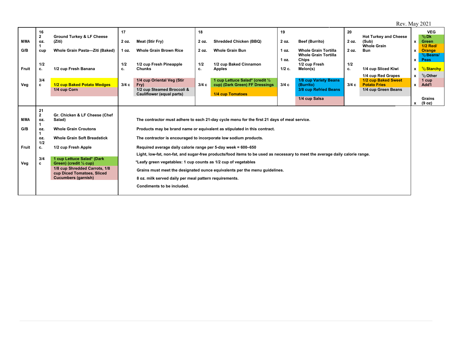Rev. May 2021

|              | 16                  |                                                                 | 17    |                                                                  | 18    |                                                                                                                              | 19       |                                             | 20    |                                            |                           | <b>VEG</b>           |
|--------------|---------------------|-----------------------------------------------------------------|-------|------------------------------------------------------------------|-------|------------------------------------------------------------------------------------------------------------------------------|----------|---------------------------------------------|-------|--------------------------------------------|---------------------------|----------------------|
| M/MA         | $\mathbf{2}$<br>OZ. | <b>Ground Turkey &amp; LF Cheese</b><br>(Ziti)                  | 2 oz. | Meat (Stir Fry)                                                  | 2 oz. | <b>Shredded Chicken (BBQ)</b>                                                                                                | 2 oz.    | <b>Beef (Burrito)</b>                       | 2 oz. | <b>Hot Turkey and Cheese</b><br>(Sub)      | $\mathbf{x}$              | $1/2$ Dk<br>Green    |
|              |                     |                                                                 |       |                                                                  |       |                                                                                                                              |          |                                             |       | <b>Whole Grain</b>                         |                           | <b>1/2 Red/</b>      |
| G/B          | cup                 | Whole Grain Pasta-Ziti (Baked)                                  | 1 oz. | <b>Whole Grain Brown Rice</b>                                    | 2 oz. | <b>Whole Grain Bun</b>                                                                                                       | 1 oz.    | <b>Whole Grain Tortilla</b>                 | 2 oz. | <b>Bun</b>                                 | $\mathbf{x}$              | Orange               |
|              |                     |                                                                 |       |                                                                  |       |                                                                                                                              | 1 oz.    | <b>Whole Grain Tortilla</b><br><b>Chips</b> |       |                                            | $\mathbf{x}$              | $1/2$ Beans/<br>Peas |
|              | 1/2                 |                                                                 | 1/2   | 1/2 cup Fresh Pineapple                                          | 1/2   | 1/2 cup Baked Cinnamon                                                                                                       |          | 1/2 cup Fresh                               | 1/2   |                                            |                           |                      |
| <b>Fruit</b> | c.                  | 1/2 cup Fresh Banana                                            | c.    | <b>Chunks</b>                                                    | c.    | <b>Apples</b>                                                                                                                | $1/2$ c. | Melon(s)                                    | c.    | 1/4 cup Sliced Kiwi                        | $\mathbf{x}$              | $1/2$ Starchy        |
|              |                     |                                                                 |       |                                                                  |       |                                                                                                                              |          |                                             |       | 1/4 cup Red Grapes                         | $\mathbf{x}$              | $1/2$ Other          |
| Veg          | 3/4<br>c            | 1/2 cup Baked Potato Wedges                                     | 3/4c  | 1/4 cup Oriental Veg (Stir<br>Fry)                               | 3/4c  | 1 cup Lettuce Salad* (credit 1/2<br>cup) (Dark Green) FF Dressings                                                           | 3/4c     | 1/8 cup Variety Beans<br>(Burrito)          | 3/4c  | 1/2 cup Baked Sweet<br><b>Potato Fries</b> | $\mathbf{x}$              | 1 cup<br>Add'l       |
|              |                     | 1/4 cup Corn                                                    |       | 1/2 cup Steamed Broccoli &                                       |       |                                                                                                                              |          | 3/8 cup Refried Beans                       |       | 1/4 cup Green Beans                        |                           |                      |
|              |                     |                                                                 |       | Cauliflower (equal parts)                                        |       | 1/4 cup Tomatoes                                                                                                             |          |                                             |       |                                            |                           | Grains               |
|              |                     |                                                                 |       |                                                                  |       |                                                                                                                              |          | 1/4 cup Salsa                               |       |                                            | $\boldsymbol{\mathsf{x}}$ | (9 oz)               |
|              | 21                  |                                                                 |       |                                                                  |       |                                                                                                                              |          |                                             |       |                                            |                           |                      |
|              | $\mathbf{2}$        | Gr. Chicken & LF Cheese (Chef                                   |       |                                                                  |       |                                                                                                                              |          |                                             |       |                                            |                           |                      |
| <b>M/MA</b>  | OZ.                 | Salad)                                                          |       |                                                                  |       | The contractor must adhere to each 21-day cycle menu for the first 21 days of meal service.                                  |          |                                             |       |                                            |                           |                      |
| G/B          | OZ.                 | <b>Whole Grain Croutons</b>                                     |       |                                                                  |       | Products may be brand name or equivalent as stipulated in this contract.                                                     |          |                                             |       |                                            |                           |                      |
|              |                     |                                                                 |       |                                                                  |       |                                                                                                                              |          |                                             |       |                                            |                           |                      |
|              | OZ.<br>1/2          | <b>Whole Grain Soft Breadstick</b>                              |       | The contractor is encouraged to incorporate low sodium products. |       |                                                                                                                              |          |                                             |       |                                            |                           |                      |
| Fruit        | c.                  | 1/2 cup Fresh Apple                                             |       | Required average daily calorie range per 5-day week = 600-650    |       |                                                                                                                              |          |                                             |       |                                            |                           |                      |
|              |                     |                                                                 |       |                                                                  |       | Light, low-fat, non-fat, and sugar-free products/food items to be used as necessary to meet the average daily calorie range. |          |                                             |       |                                            |                           |                      |
| Veg          | 3/4<br>c            | 1 cup Lettuce Salad* (Dark<br>Green) (credit $\frac{1}{2}$ cup) |       | *Leafy green vegetables: 1 cup counts as 1/2 cup of vegetables   |       |                                                                                                                              |          |                                             |       |                                            |                           |                      |
|              |                     | 1/8 cup Shredded Carrots, 1/8<br>cup Diced Tomatoes, Sliced     |       |                                                                  |       | Grains must meet the designated ounce equivalents per the menu guidelines.                                                   |          |                                             |       |                                            |                           |                      |
|              |                     | <b>Cucumbers (garnish)</b>                                      |       | 8 oz. milk served daily per meal pattern requirements.           |       |                                                                                                                              |          |                                             |       |                                            |                           |                      |
|              |                     |                                                                 |       | Condiments to be included.                                       |       |                                                                                                                              |          |                                             |       |                                            |                           |                      |
|              |                     |                                                                 |       |                                                                  |       |                                                                                                                              |          |                                             |       |                                            |                           |                      |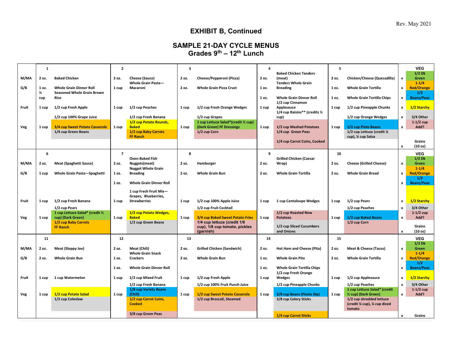Rev. May 2021

# **EXHIBIT B, Continued**

## **SAMPLE 21-DAY CYCLE MENUS Grades 9th – 12th Lunch**

|       | $\mathbf{1}$           |                                                                     | $\mathbf{z}$   |                                                                      | 3     |                                                                                   | $\overline{4}$ |                                                                      | 5     |                                                                   |                              | <b>VEG</b>                        |
|-------|------------------------|---------------------------------------------------------------------|----------------|----------------------------------------------------------------------|-------|-----------------------------------------------------------------------------------|----------------|----------------------------------------------------------------------|-------|-------------------------------------------------------------------|------------------------------|-----------------------------------|
| M/MA  | 2 oz.                  | <b>Baked Chicken</b>                                                | 2 oz.          | Cheese (Sauce)<br>Whole Grain Pasta-                                 | 2 oz. | Cheese/Pepperoni (Pizza)                                                          | 2 oz.          | <b>Baked Chicken Tenders</b><br>(meat)<br><b>Tenders Whole Grain</b> | 2 oz. | Chicken/Cheese (Quesadilla)                                       | $\pmb{\mathsf{x}}$           | $1/2$ Dk<br>Green<br>$1 - 1/4$    |
| G/B   | 1 oz.<br>$\frac{1}{2}$ | <b>Whole Grain Dinner Roll</b><br><b>Seasoned Whole Grain Brown</b> | 1 cup          | Macaroni                                                             | 2 oz. | <b>Whole Grain Pizza Crust</b>                                                    | 1 oz.          | <b>Breading</b>                                                      | 1 oz. | <b>Whole Grain Tortilla</b>                                       | $\mathbf{x}$                 | <b>Red/Orange</b><br>1/2          |
|       | cup                    | Rice                                                                |                |                                                                      |       |                                                                                   | 1 oz.          | <b>Whole Grain Dinner Roll</b><br>1/2 cup Cinnamon                   | 1 oz. | <b>Whole Grain Tortilla Chips</b>                                 | $\mathbf{x}$                 | <b>Beans/Peas</b>                 |
| Fruit | 1 cup                  | 1/2 cup Fresh Apple                                                 | 1 cup          | 1/2 cup Peaches                                                      | 1 cup | 1/2 cup Fresh Orange Wedges                                                       | 1 cup          | Applesauce<br>1/4 cup Raisins** (credits 1/2                         | 1 cup | 1/2 cup Pineapple Chunks                                          | $\pmb{\mathsf{x}}$           | 1/2 Starchy                       |
| Veg   | 1 cup                  | 1/2 cup 100% Grape Juice<br>3/4 cup Sweet Potato Casserole          | 1 cup          | 1/2 cup Fresh Banana<br>1/2 cup Potato Rounds,<br><b>Baked</b>       | 1 cup | 1/2 cup Grapes<br>1 cup Lettuce Salad*(credit ½ cup)<br>(Dark Green) FF Dressings | 1 cup          | cup)<br>1/2 cup Mashed Potatoes                                      | 1 cup | 1/2 cup Orange Wedges<br>1/2 cup Pinto Beans                      | $\mathbf{x}$<br>$\mathbf{x}$ | 3/4 Other<br>$1-1/2$ cup<br>Add'l |
|       |                        | 1/4 cup Green Beans                                                 |                | 1/2 cup Baby Carrots<br><b>FF Ranch</b>                              |       | 1/2 cup Corn                                                                      |                | 1/4 cup Green Peas                                                   |       | 1/2 cup Lettuce (credit 1/4<br>cup), 1/4 cup Salsa                |                              |                                   |
|       |                        |                                                                     |                |                                                                      |       |                                                                                   |                | 1/4 cup Carrot Coins, Cooked                                         |       |                                                                   | $\mathbf{x}$                 | Grains<br>(10 <sub>oz</sub> )     |
|       | 6                      |                                                                     | $\overline{ }$ |                                                                      | 8     |                                                                                   | 9              |                                                                      | 10    |                                                                   |                              | <b>VEG</b>                        |
| M/MA  | 2 oz.                  | <b>Meat (Spaghetti Sauce)</b>                                       | 2 oz.          | <b>Oven-Baked Fish</b><br>Nuggets(meat)<br><b>Nugget Whole Grain</b> | 2 oz. | Hamburger                                                                         | 2 oz.          | <b>Grilled Chicken (Caesar</b><br>Wrap)                              | 2 oz. | <b>Cheese (Grilled Cheese)</b>                                    | $\boldsymbol{\mathsf{x}}$    | $1/2$ Dk<br>Green<br>$1 - 1/4$    |
| G/B   | 1 cup                  | <b>Whole Grain Pasta-Spaghetti</b>                                  | 1 oz.          | <b>Breading</b>                                                      | 2 oz. | <b>Whole Grain Bun</b>                                                            | 2 oz.          | <b>Whole Grain Tortilla</b>                                          | 2 oz. | <b>Whole Grain Bread</b>                                          | $\mathbf{x}$                 | <b>Red/Orange</b><br>1/2          |
|       |                        |                                                                     | 1 oz.          | <b>Whole Grain Dinner Roll</b>                                       |       |                                                                                   |                |                                                                      |       |                                                                   | $\mathbf{x}$                 | <b>Beans/Peas</b>                 |
|       |                        |                                                                     |                | 1 cup Fresh Fruit Mix-<br>Grapes, Blueberries,                       |       |                                                                                   |                |                                                                      |       |                                                                   |                              |                                   |
| Fruit | 1 cup                  | 1/2 cup Fresh Banana                                                | 1 cup          | <b>Strawberries</b>                                                  | 1 cup | 1/2 cup 100% Apple Juice                                                          | 1 cup          | 1 cup Cantaloupe Wedges                                              | 1 cup | 1/2 cup Pears                                                     | $\pmb{\mathsf{x}}$           | 1/2 Starchy                       |
|       |                        | 1/2 cup Pears<br>1 cup Lettuce Salad* (credit 1/2                   |                | 1/2 cup Potato Wedges,                                               |       | 1/2 cup Fruit Cocktail                                                            |                | 1/2 cup Roasted New                                                  |       | 1/2 cup Peaches                                                   | $\pmb{\mathsf{x}}$           | 3/4 Other<br>$1-1/2$ cup          |
| Veg   | 1 cup                  | cup) (Dark Green)<br>1/2 cup Baby Carrots                           | 1 cup          | <b>Baked</b><br>1/2 cup Green Beans                                  | 1 cup | 3/4 cup Baked Sweet Potato Fries<br>1/4 cup lettuce (credit 1/8                   | 1 cup          | <b>Potatoes</b>                                                      | 1 cup | 1/2 cup Baked Beans<br>1/2 cup Corn                               | $\mathbf{x}$                 | Add'l                             |
|       |                        | <b>FF Ranch</b>                                                     |                |                                                                      |       | cup), 1/8 cup tomato, pickles<br>(garnish)                                        |                | 1/2 cup Sliced Cucumbers<br>and Onions                               |       |                                                                   | $\mathbf{x}$                 | Grains<br>(10 <sub>oz</sub> )     |
|       | 11                     |                                                                     | 12             |                                                                      | 13    |                                                                                   | 14             |                                                                      | 15    |                                                                   |                              | <b>VEG</b>                        |
| M/MA  | 2 oz.                  | Meat (Sloppy Joe)                                                   | 2 oz.          | Meat (Chili)<br><b>Whole Grain Snack</b>                             | 2 oz. | <b>Grilled Chicken (Sandwich)</b>                                                 | 2 oz.          | <b>Hot Ham and Cheese (Pita)</b>                                     | 2 oz. | <b>Meat &amp; Cheese (Tacos)</b>                                  | $\pmb{\mathsf{x}}$           | $1/2$ Dk<br>Green<br>$1 - 1/4$    |
| G/B   | 2 oz.                  | <b>Whole Grain Bun</b>                                              | 1 oz.          | <b>Crackers</b>                                                      | 2 oz. | <b>Whole Grain Bun</b>                                                            | 1 oz.          | <b>Whole Grain Pita</b>                                              | 2 oz. | <b>Whole Grain Tortilla</b>                                       | $\mathbf{x}$                 | <b>Red/Orange</b><br>1/2          |
|       |                        |                                                                     | 1 oz.          | <b>Whole Grain Dinner Roll</b>                                       |       |                                                                                   | 1 oz.          | <b>Whole Grain Tortilla Chips</b><br>1/2 cup Fresh Orange            |       |                                                                   | $\mathbf{x}$                 | <b>Beans/Peas</b>                 |
| Fruit | 1 cup                  | 1 cup Watermelon                                                    | 1 cup          | 1/2 cup Mixed Fruit                                                  | 1 cup | 1/2 cup Fresh Apple                                                               | 1 cup          | Wedges                                                               | 1 cup | 1/2 cup Applesauce                                                | $\pmb{\mathsf{x}}$           | 1/2 Starchy                       |
|       |                        |                                                                     |                | 1/2 cup Fresh Banana<br>1/8 cup Variety Beans                        |       | 1/2 cup 100% Fruit Punch Juice                                                    |                | 1/2 cup Pineapple Chunks                                             |       | 1/2 cup Peaches<br>1 cup Lettuce Salad* (credit                   | $\mathbf{x}$                 | 3/4 Other<br>$1-1/2$ cup          |
| Veg   | 1 cup                  | 1/2 cup Potato Salad                                                | 1 cup          | (Chili)                                                              | 1 cup | 1/2 cup Sweet Potato Casserole                                                    | 1 cup          | 3/8 cup Beans (Fiesta Dip)                                           | 1 cup | 1/2 cup) (Dark Green)                                             | $\pmb{\mathsf{x}}$           | Add'l                             |
|       |                        | 1/2 cup Coleslaw                                                    |                | 1/2 cup Carrot Coins,<br><b>Cooked</b>                               |       | 1/2 cup Broccoli, Steamed                                                         |                | 3/8 cup Celery Sticks                                                |       | 1/2 cup shredded lettuce<br>(credit % cup), % cup diced<br>tomato |                              |                                   |
|       |                        |                                                                     |                | 3/8 cup Green Peas                                                   |       |                                                                                   |                | 1/4 cup Carrot Sticks                                                |       |                                                                   | $\mathbf{x}$                 | Grains                            |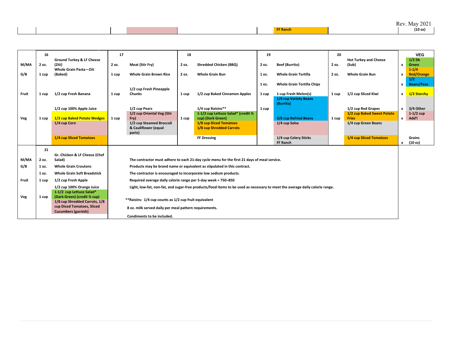| <b>COLOR</b><br>(10 oz)<br><b>Exanch</b> |  |  |  |  | 2021<br>Rev. Ma<br>May 2 |
|------------------------------------------|--|--|--|--|--------------------------|
|                                          |  |  |  |  |                          |

|       | 16    |                                                              | 17                                                            | 18    |                                                                                                                              | 19    |                                    | 20    |                                       |              | <b>VEG</b>               |
|-------|-------|--------------------------------------------------------------|---------------------------------------------------------------|-------|------------------------------------------------------------------------------------------------------------------------------|-------|------------------------------------|-------|---------------------------------------|--------------|--------------------------|
| M/MA  | 2 oz. | <b>Ground Turkey &amp; LF Cheese</b><br>(Ziti)               | Meat (Stir Fry)<br>2 oz.                                      | 2 oz. | <b>Shredded Chicken (BBQ)</b>                                                                                                | 2 oz. | <b>Beef (Burrito)</b>              | 2 oz. | <b>Hot Turkey and Cheese</b><br>(Sub) | $\mathbf{x}$ | $1/2$ Dk<br>Green        |
|       |       | Whole Grain Pasta-Ziti                                       |                                                               |       |                                                                                                                              |       |                                    |       |                                       |              | $1 - 1/4$                |
| G/B   | 1 cup | (Baked)                                                      | <b>Whole Grain Brown Rice</b><br>1 cup                        | 2 oz. | <b>Whole Grain Bun</b>                                                                                                       | 1 oz. | <b>Whole Grain Tortilla</b>        | 2 oz. | <b>Whole Grain Bun</b>                | x            | <b>Red/Orange</b>        |
|       |       |                                                              |                                                               |       |                                                                                                                              | 1 oz. | <b>Whole Grain Tortilla Chips</b>  |       |                                       | x            | 1/2<br><b>Beans/Peas</b> |
|       |       |                                                              | 1/2 cup Fresh Pineapple                                       |       |                                                                                                                              |       |                                    |       |                                       |              |                          |
| Fruit | 1 cup | 1/2 cup Fresh Banana                                         | Chunks<br>1 cup                                               | 1 cup | 1/2 cup Baked Cinnamon Apples                                                                                                | 1 cup | 1 cup Fresh Melon(s)               | 1 cup | 1/2 cup Sliced Kiwi                   | $\mathbf{x}$ | 1/2 Starchy              |
|       |       |                                                              |                                                               |       |                                                                                                                              |       | 1/8 cup Variety Beans<br>(Burrito) |       |                                       |              |                          |
|       |       | 1/2 cup 100% Apple Juice                                     | 1/2 cup Pears                                                 |       | 1/4 cup Raisins**                                                                                                            | 1 cup |                                    |       | 1/2 cup Red Grapes                    | $\mathbf{x}$ | 3/4 Other                |
|       |       |                                                              | 1/2 cup Oriental Veg (Stir                                    |       | 1-1/2 cup Lettuce Salad* (credit %                                                                                           |       |                                    |       | 1/2 cup Baked Sweet Potato            |              | $1-1/2$ cup              |
| Veg   | 1 cup | 1/2 cup Baked Potato Wedges                                  | Fry)<br>1 cup                                                 | 1 cup | cup) (Dark Green)                                                                                                            |       | 3/8 cup Refried Beans              | 1 cup | <b>Fries</b>                          | $\mathbf{x}$ | Add'l                    |
|       |       | 1/4 cup Corn                                                 | 1/2 cup Steamed Broccoli<br>& Cauliflower (equal              |       | 1/8 cup Diced Tomatoes<br>1/8 cup Shredded Carrots                                                                           |       | 1/4 cup Salsa                      |       | 1/4 cup Green Beans                   |              |                          |
|       |       |                                                              | parts)                                                        |       |                                                                                                                              |       |                                    |       |                                       |              |                          |
|       |       | 1/4 cup Sliced Tomatoes                                      |                                                               |       | <b>FF Dressing</b>                                                                                                           |       | 1/4 cup Celery Sticks              |       | 1/4 cup Sliced Tomatoes               |              | Grains                   |
|       |       |                                                              |                                                               |       |                                                                                                                              |       | FF Ranch                           |       |                                       | $\mathbf{x}$ | (10 oz)                  |
|       | 21    |                                                              |                                                               |       |                                                                                                                              |       |                                    |       |                                       |              |                          |
|       |       | Gr. Chicken & LF Cheese (Chef                                |                                                               |       |                                                                                                                              |       |                                    |       |                                       |              |                          |
| M/MA  | 2 oz. | Salad)                                                       |                                                               |       | The contractor must adhere to each 21-day cycle menu for the first 21 days of meal service.                                  |       |                                    |       |                                       |              |                          |
| G/B   | 1 oz. | <b>Whole Grain Croutons</b>                                  |                                                               |       | Products may be brand name or equivalent as stipulated in this contract.                                                     |       |                                    |       |                                       |              |                          |
|       | 1 oz. | <b>Whole Grain Soft Breadstick</b>                           |                                                               |       | The contractor is encouraged to incorporate low sodium products.                                                             |       |                                    |       |                                       |              |                          |
| Fruit | 1 cup | 1/2 cup Fresh Apple                                          | Required average daily calorie range per 5-day week = 750-850 |       |                                                                                                                              |       |                                    |       |                                       |              |                          |
|       |       | 1/2 cup 100% Orange Juice                                    |                                                               |       | Light, low-fat, non-fat, and sugar-free products/food items to be used as necessary to meet the average daily calorie range. |       |                                    |       |                                       |              |                          |
|       |       | 1-1/2 cup Lettuce Salad*                                     |                                                               |       |                                                                                                                              |       |                                    |       |                                       |              |                          |
| Veg   | 1 cup | (Dark Green) (credit % cup)<br>1/8 cup Shredded Carrots, 1/8 | ** Raisins: 1/4 cup counts as 1/2 cup fruit equivalent        |       |                                                                                                                              |       |                                    |       |                                       |              |                          |
|       |       | cup Diced Tomatoes, Sliced                                   | 8 oz. milk served daily per meal pattern requirements.        |       |                                                                                                                              |       |                                    |       |                                       |              |                          |
|       |       | <b>Cucumbers (garnish)</b>                                   |                                                               |       |                                                                                                                              |       |                                    |       |                                       |              |                          |
|       |       |                                                              | Condiments to be included.                                    |       |                                                                                                                              |       |                                    |       |                                       |              |                          |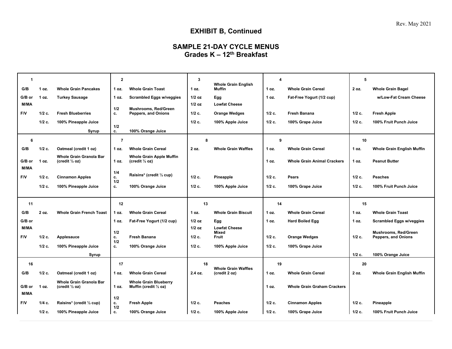# **EXHIBIT B, Continued**

# **SAMPLE 21-DAY CYCLE MENUS Grades K – 12th Breakfast**

| $\mathbf{1}$ |                      |                                                             | $\overline{2}$  |                                                        | $\mathbf{3}$      |                                             | $\boldsymbol{4}$  |                                            | 5                    |                                     |
|--------------|----------------------|-------------------------------------------------------------|-----------------|--------------------------------------------------------|-------------------|---------------------------------------------|-------------------|--------------------------------------------|----------------------|-------------------------------------|
| G/B          | 1 oz.                | <b>Whole Grain Pancakes</b>                                 | 1 oz.           | <b>Whole Grain Toast</b>                               | 1 oz.             | <b>Whole Grain English</b><br>Muffin        | 1 oz.             | <b>Whole Grain Cereal</b>                  | 2 oz.                | <b>Whole Grain Bagel</b>            |
| G/B or       | 1 oz.                | <b>Turkey Sausage</b>                                       | 1 oz.           | <b>Scrambled Eggs w/veggies</b>                        | $1/2$ oz          | Egg                                         | 1 oz.             | Fat-Free Yogurt (1/2 cup)                  |                      | w/Low-Fat Cream Cheese              |
| M/MA         |                      |                                                             | 1/2             | Mushrooms, Red/Green                                   | $1/2$ oz          | <b>Lowfat Cheese</b>                        |                   |                                            |                      |                                     |
| F/V          | $1/2$ c.             | <b>Fresh Blueberries</b>                                    | c.              | <b>Peppers, and Onions</b>                             | $1/2$ c.          | <b>Orange Wedges</b>                        | $1/2$ c.          | <b>Fresh Banana</b>                        | $1/2$ c.             | <b>Fresh Apple</b>                  |
|              | $1/2$ c.             | 100% Pineapple Juice                                        | 1/2             |                                                        | $1/2$ c.          | 100% Apple Juice                            | $1/2$ c.          | 100% Grape Juice                           | $1/2$ c.             | 100% Fruit Punch Juice              |
|              |                      | Syrup                                                       | c.              | 100% Orange Juice                                      |                   |                                             |                   |                                            |                      |                                     |
| 6            |                      |                                                             | $\overline{7}$  |                                                        | 8                 |                                             | 9                 |                                            | 10                   |                                     |
| G/B          | 1/2 c.               | Oatmeal (credit 1 oz)                                       | 1 oz.           | <b>Whole Grain Cereal</b>                              | 2 oz.             | <b>Whole Grain Waffles</b>                  | 1 oz.             | <b>Whole Grain Cereal</b>                  | 1 oz.                | <b>Whole Grain English Muffin</b>   |
| G/B or       | 1 oz.                | Whole Grain Granola Bar<br>(credit $\frac{1}{2}$ oz)        | 1 oz.           | Whole Grain Apple Muffin<br>(credit 1/2 oz)            |                   |                                             | 1 oz.             | <b>Whole Grain Animal Crackers</b>         | 1 oz.                | <b>Peanut Butter</b>                |
| <b>M/MA</b>  |                      |                                                             |                 |                                                        |                   |                                             |                   |                                            |                      |                                     |
| F/V          | $1/2$ c.             | <b>Cinnamon Apples</b>                                      | 1/4<br>c.       | Raisins* (credit 1/2 cup)                              | $1/2$ c.          | Pineapple                                   | $1/2$ c.          | Pears                                      | $1/2$ c.             | <b>Peaches</b>                      |
|              | $1/2$ c.             | 100% Pineapple Juice                                        | 1/2<br>c.       | 100% Orange Juice                                      | 1/2 c.            | 100% Apple Juice                            | 1/2 c.            | 100% Grape Juice                           | 1/2 c.               | 100% Fruit Punch Juice              |
|              |                      |                                                             |                 |                                                        |                   |                                             |                   |                                            |                      |                                     |
|              |                      |                                                             |                 |                                                        |                   |                                             |                   |                                            |                      |                                     |
| 11           |                      |                                                             | 12              |                                                        | 13                |                                             | 14                |                                            | 15                   |                                     |
| G/B          | 2 oz.                | <b>Whole Grain French Toast</b>                             | 1 oz.           | <b>Whole Grain Cereal</b>                              | 1 oz.             | <b>Whole Grain Biscuit</b>                  | 1 oz.             | <b>Whole Grain Cereal</b>                  | 1 oz.                | <b>Whole Grain Toast</b>            |
| G/B or       |                      |                                                             | 1 oz.           | Fat-Free Yogurt (1/2 cup)                              | $1/2$ oz          | Egg                                         | 1 oz.             | <b>Hard Boiled Egg</b>                     | 1 oz.                | <b>Scrambled Eggs w/veggies</b>     |
| M/MA         |                      |                                                             | 1/2             |                                                        | $1/2$ oz          | <b>Lowfat Cheese</b><br><b>Mixed</b>        |                   |                                            |                      | Mushrooms, Red/Green                |
| F/V          | $1/2$ c.             | Applesauce                                                  | c.              | <b>Fresh Banana</b>                                    | $1/2$ c.          | Fruit                                       | $1/2$ c.          | <b>Orange Wedges</b>                       | $1/2$ c.             | <b>Peppers, and Onions</b>          |
|              | $1/2$ c.             | 100% Pineapple Juice                                        | 1/2<br>c.       | 100% Orange Juice                                      | $1/2$ c.          | 100% Apple Juice                            | $1/2$ c.          | 100% Grape Juice                           |                      |                                     |
|              |                      | Syrup                                                       |                 |                                                        |                   |                                             |                   |                                            | $1/2$ c.             | 100% Orange Juice                   |
| 16           |                      |                                                             | 17              |                                                        | 18                |                                             | 19                |                                            | 20                   |                                     |
| G/B          | 1/2 c.               | Oatmeal (credit 1 oz)                                       | 1 oz.           | <b>Whole Grain Cereal</b>                              | 2.4 oz.           | <b>Whole Grain Waffles</b><br>(credit 2 oz) | 1 oz.             | <b>Whole Grain Cereal</b>                  | 2 oz.                | <b>Whole Grain English Muffin</b>   |
| G/B or       | 1 oz.                | <b>Whole Grain Granola Bar</b><br>(credit $\frac{1}{2}$ oz) | 1 oz.           | <b>Whole Grain Blueberry</b><br>Muffin (credit 1/2 oz) |                   |                                             | 1 oz.             | <b>Whole Grain Graham Crackers</b>         |                      |                                     |
| M/MA         |                      |                                                             | 1/2             |                                                        |                   |                                             |                   |                                            |                      |                                     |
| F/V          | $1/4$ c.<br>$1/2$ c. | Raisins* (credit 1/2 cup)<br>100% Pineapple Juice           | c.<br>1/2<br>c. | <b>Fresh Apple</b><br>100% Orange Juice                | $1/2$ c.<br>1/2c. | <b>Peaches</b><br>100% Apple Juice          | $1/2$ c.<br>1/2c. | <b>Cinnamon Apples</b><br>100% Grape Juice | $1/2$ c.<br>$1/2$ c. | Pineapple<br>100% Fruit Punch Juice |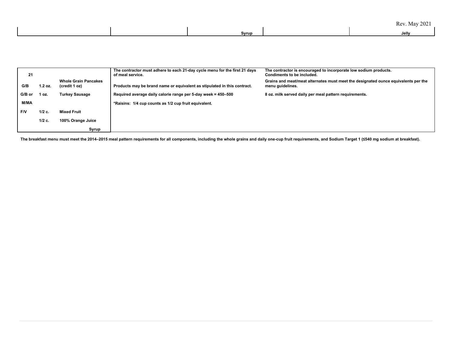|  | Rev. May 2021 |  |
|--|---------------|--|
|--|---------------|--|

| Syrup | Jelly |  |
|-------|-------|--|
|       |       |  |

| 21     |          |                                              | The contractor must adhere to each 21-day cycle menu for the first 21 days<br>of meal service. | The contractor is encouraged to incorporate low sodium products.<br>Condiments to be included.         |
|--------|----------|----------------------------------------------|------------------------------------------------------------------------------------------------|--------------------------------------------------------------------------------------------------------|
| G/B    | 1.2 oz.  | <b>Whole Grain Pancakes</b><br>(credit 1 oz) | Products may be brand name or equivalent as stipulated in this contract.                       | Grains and meat/meat alternates must meet the designated ounce equivalents per the<br>menu guidelines. |
| G/B or | oz.      | <b>Turkey Sausage</b>                        | Required average daily calorie range per 5-day week = 450-500                                  | 8 oz. milk served daily per meal pattern requirements.                                                 |
| M/MA   |          |                                              | *Raisins: 1/4 cup counts as 1/2 cup fruit equivalent.                                          |                                                                                                        |
| l F/V  | $1/2$ c. | <b>Mixed Fruit</b>                           |                                                                                                |                                                                                                        |
|        | $1/2$ c. | 100% Orange Juice                            |                                                                                                |                                                                                                        |
|        |          | Syrup                                        |                                                                                                |                                                                                                        |

The breakfast menu must meet the 2014-2015 meal pattern requirements for all components, including the whole grains and daily one-cup fruit requirements, and Sodium Target 1 (≤540 mg sodium at breakfast).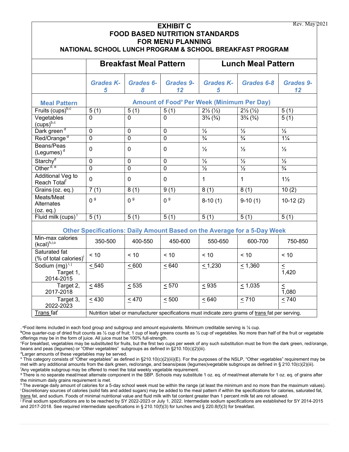| Rev. May 2021<br><b>EXHIBIT C</b><br><b>FOOD BASED NUTRITION STANDARDS</b><br><b>FOR MENU PLANNING</b><br>NATIONAL SCHOOL LUNCH PROGRAM & SCHOOL BREAKFAST PROGRAM |                                                                                                   |                       |                   |                                  |                                                                          |                              |  |  |
|--------------------------------------------------------------------------------------------------------------------------------------------------------------------|---------------------------------------------------------------------------------------------------|-----------------------|-------------------|----------------------------------|--------------------------------------------------------------------------|------------------------------|--|--|
|                                                                                                                                                                    | <b>Breakfast Meal Pattern</b>                                                                     |                       |                   | <b>Lunch Meal Pattern</b>        |                                                                          |                              |  |  |
|                                                                                                                                                                    | <b>Grades K-</b><br>5                                                                             | Grades 6-<br>8        | Grades 9-<br>12   | <b>Grades K-</b><br>5            | Grades 6-8                                                               | <b>Grades 9-</b><br>12       |  |  |
| <b>Meal Pattern</b>                                                                                                                                                | <b>Amount of Food<sup>a</sup> Per Week (Minimum Per Day)</b>                                      |                       |                   |                                  |                                                                          |                              |  |  |
| Fruits (cups) <sup>b,c</sup>                                                                                                                                       | $\overline{5(1)}$                                                                                 | 5(1)                  | $\overline{5(1)}$ | $2\frac{1}{2}(\frac{1}{2})$      | $2\frac{1}{2}(\frac{1}{2})$                                              | 5(1)                         |  |  |
| Vegetables<br>$(cups)^{b,c}$                                                                                                                                       | 0                                                                                                 | $\Omega$              | $\mathbf 0$       | $3\frac{3}{4}$ ( $\frac{3}{4}$ ) | $3\frac{3}{4}$ $\left(\frac{3}{4}\right)$                                | 5(1)                         |  |  |
| Dark green <sup>d</sup>                                                                                                                                            | 0                                                                                                 | $\mathbf 0$           | $\mathbf 0$       | $\overline{\frac{1}{2}}$         | $\overline{\frac{1}{2}}$                                                 | $\frac{1}{2}$                |  |  |
| Red/Orange <sup>d</sup>                                                                                                                                            | $\overline{0}$                                                                                    | $\overline{0}$        | $\overline{0}$    | $\frac{3}{4}$                    | $\frac{3}{4}$                                                            | $1\frac{1}{4}$               |  |  |
| Beans/Peas<br>$($ Legumes $)$ <sup>d</sup>                                                                                                                         | $\overline{0}$                                                                                    | $\overline{0}$        | $\Omega$          | $\frac{1}{2}$                    | $\frac{1}{2}$                                                            | $\frac{1}{2}$                |  |  |
| Starchy <sup>d</sup>                                                                                                                                               | $\mathbf 0$                                                                                       | $\mathbf 0$           | 0                 | $\frac{1}{2}$                    | $\frac{1}{2}$                                                            | $\frac{1}{2}$                |  |  |
| Other <sup>d, e</sup>                                                                                                                                              | $\overline{0}$                                                                                    | $\overline{0}$        | $\overline{0}$    | $\frac{1}{2}$                    | $\frac{1}{2}$                                                            | $\frac{3}{4}$                |  |  |
| Additional Veg to<br>Reach Total <sup>f</sup>                                                                                                                      | $\overline{0}$                                                                                    | $\mathbf 0$           | $\mathbf 0$       | $\mathbf{1}$                     | $\mathbf 1$                                                              | $1\frac{1}{2}$               |  |  |
| Grains (oz. eq.)                                                                                                                                                   | 7(1)                                                                                              | 8(1)                  | 9(1)              | 8(1)                             | 8(1)                                                                     | 10(2)                        |  |  |
| Meats/Meat<br>Alternates<br>(oz. eq.)                                                                                                                              | 0 <sup>9</sup>                                                                                    | 0 <sup>9</sup>        | 0 <sup>9</sup>    | $8-10(1)$                        | $9-10(1)$                                                                | $10-12(2)$                   |  |  |
| Fluid milk (cups)                                                                                                                                                  | 5(1)                                                                                              | $\overline{5(1)}$     | $\overline{5(1)}$ | $\overline{5(1)}$                | $\overline{5(1)}$                                                        | $\overline{5(1)}$            |  |  |
|                                                                                                                                                                    |                                                                                                   |                       |                   |                                  | Other Specifications: Daily Amount Based on the Average for a 5-Day Week |                              |  |  |
| Min-max calories<br>(kcal) <sup>h,i,o</sup>                                                                                                                        | 350-500                                                                                           | 400-550               | 450-600           | 550-650                          | 600-700                                                                  | 750-850                      |  |  |
| Saturated fat<br>(% of total calories) <sup>1</sup>                                                                                                                | < 10                                                                                              | < 10                  | < 10              | < 10                             | < 10                                                                     | < 10                         |  |  |
| Sodium (mg) <sup>i, j</sup><br>Target 1,<br>2014-2015                                                                                                              | $\leq 540$                                                                                        | $\underline{\leq}600$ | $\leq 640$        | $\leq 1,230$                     | $\leq 1,360$                                                             | $\leq$<br>1,420              |  |  |
| Target 2,<br>2017-2018                                                                                                                                             | < 485                                                                                             | < 535                 | < 570             | < 935                            | < 1,035                                                                  | $\leq$<br>$\overline{1,080}$ |  |  |
| Target 3,<br>2022-2023                                                                                                                                             | $\leq 430$                                                                                        | $\leq 470$            | < 500             | < 640                            | $\leq 710$                                                               | < 740                        |  |  |
| Trans fat <sup>i</sup>                                                                                                                                             | Nutrition label or manufacturer specifications must indicate zero grams of trans fat per serving. |                       |                   |                                  |                                                                          |                              |  |  |

. <sup>a</sup>Food items included in each food group and subgroup and amount equivalents. Minimum creditable serving is ¼ cup.

**<sup>b</sup>**One quarter-cup of dried fruit counts as ½ cup of fruit; 1 cup of leafy greens counts as ½ cup of vegetables. No more than half of the fruit or vegetable offerings may be in the form of juice. All juice must be 100% full-strength.

c For breakfast, vegetables may be substituted for fruits, but the first two cups per week of any such substitution must be from the dark green, red/orange, beans and peas (legumes) or "Other vegetables" subgroups as defined in §210.10(c)(2)(iii).

d Larger amounts of these vegetables may be served.

<sup>e</sup> This category consists of "Other vegetables" as defined in §210.10(c)(2)(iii)(E). For the purposes of the NSLP, "Other vegetables" requirement may be met with any additional amounts from the dark green, red/orange, and beans/peas (legumes)vegetable subgroups as defined in § 210.10(c)(2)(iii). f Any vegetable subgroup may be offered to meet the total weekly vegetable requirement.

<sup>g</sup> There is no separate meat/meat alternate component in the SBP. Schools may substitute 1 oz. eq. of meat/meat alternate for 1 oz. eq. of grains after the minimum daily grains requirement is met.

h The average daily amount of calories for a 5-day school week must be within the range (at least the minimum and no more than the maximum values). i Discretionary sources of calories (solid fats and added sugars) may be added to the meal pattern if within the specifications for calories, saturated fat, trans fat, and sodium. Foods of minimal nutritional value and fluid milk with fat content greater than 1 percent milk fat are not allowed.

 $\overline{I}$  Final sodium specifications are to be reached by SY 2022-2023 or July 1, 2022. Intermediate sodium specifications are established for SY 2014-2015 and 2017-2018. See required intermediate specifications in § 210.10(f)(3) for lunches and § 220.8(f)(3) for breakfast.